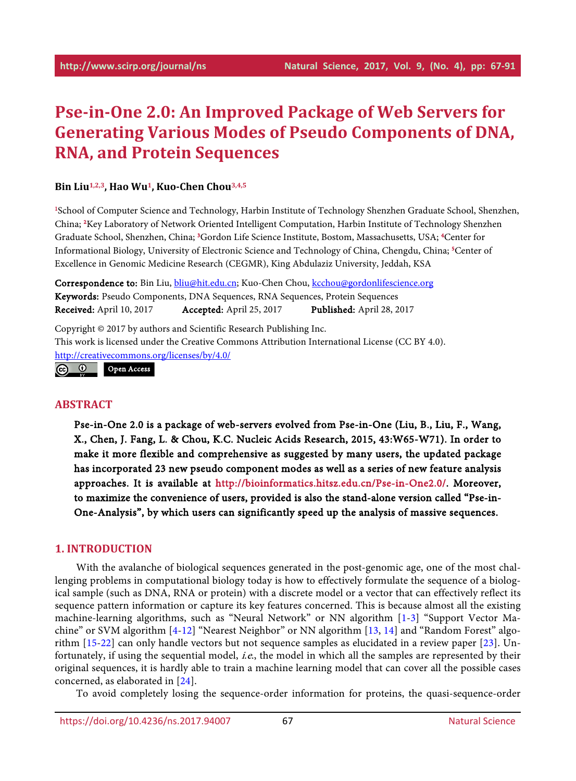# **Pse-in-One 2.0: An Improved Package of Web Servers for Generating Various Modes of Pseudo Components of DNA, RNA, and Protein Sequences**

### **Bin Liu1,2,3, Hao Wu1, Kuo-Chen Chou3,4,5**

1 School of Computer Science and Technology, Harbin Institute of Technology Shenzhen Graduate School, Shenzhen, China; 2 Key Laboratory of Network Oriented Intelligent Computation, Harbin Institute of Technology Shenzhen Graduate School, Shenzhen, China; 3 Gordon Life Science Institute, Bostom, Massachusetts, USA; 4 Center for Informational Biology, University of Electronic Science and Technology of China, Chengdu, China; 5 Center of Excellence in Genomic Medicine Research (CEGMR), King Abdulaziz University, Jeddah, KSA

Correspondence to: Bin Liu, [bliu@hit.edu.cn;](mailto:bliu@hit.edu.cn) Kuo-Chen Chou, [kcchou@gordonlifescience.org](mailto:kcchou@gordonlifescience.org) Keywords: Pseudo Components, DNA Sequences, RNA Sequences, Protein Sequences Received: April 10, 2017 Accepted: April 25, 2017 Published: April 28, 2017

Copyright © 2017 by authors and Scientific Research Publishing Inc. This work is licensed under the Creative Commons Attribution International License (CC BY 4.0). <http://creativecommons.org/licenses/by/4.0/>

 $\odot$   $\odot$ Open Access

### **ABSTRACT**

Pse-in-One 2.0 is a package of web-servers evolved from Pse-in-One (Liu, B., Liu, F., Wang, X., Chen, J. Fang, L. & Chou, K.C. Nucleic Acids Research, 2015, 43:W65-W71). In order to make it more flexible and comprehensive as suggested by many users, the updated package has incorporated 23 new pseudo component modes as well as a series of new feature analysis approaches. It is available at [http://bioinformatics.hitsz.edu.cn/Pse-in-One2.0/.](http://bioinformatics.hitsz.edu.cn/Pse-in-One2.0/) Moreover, to maximize the convenience of users, provided is also the stand-alone version called "Pse-in-One-Analysis", by which users can significantly speed up the analysis of massive sequences.

### **1. INTRODUCTION**

With the avalanche of biological sequences generated in the post-genomic age, one of the most challenging problems in computational biology today is how to effectively formulate the sequence of a biological sample (such as DNA, RNA or protein) with a discrete model or a vector that can effectively reflect its sequence pattern information or capture its key features concerned. This is because almost all the existing machine-learning algorithms, such as "Neural Network" or NN algorithm [\[1](#page-5-0)[-3\]](#page-5-1) "Support Vector Machine" or SVM algorithm [\[4-](#page-5-2)[12\]](#page-5-3) "Nearest Neighbor" or NN algorithm [\[13,](#page-5-4) [14\]](#page-5-5) and "Random Forest" algorithm [\[15-](#page-5-6)[22\]](#page-6-0) can only handle vectors but not sequence samples as elucidated in a review paper [\[23\]](#page-6-1). Unfortunately, if using the sequential model, *i.e.*, the model in which all the samples are represented by their original sequences, it is hardly able to train a machine learning model that can cover all the possible cases concerned, as elaborated in [\[24\]](#page-6-2).

To avoid completely losing the sequence-order information for proteins, the quasi-sequence-order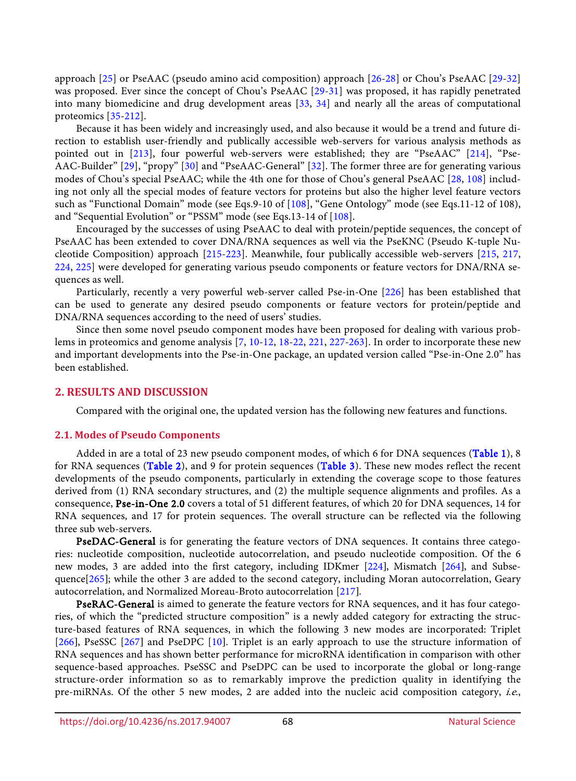approach [\[25\]](#page-6-3) or PseAAC (pseudo amino acid composition) approach [\[26](#page-6-4)[-28\]](#page-6-5) or Chou's PseAAC [\[29-](#page-6-6)[32\]](#page-7-0) was proposed. Ever since the concept of Chou's PseAAC [\[29-](#page-6-6)[31\]](#page-6-7) was proposed, it has rapidly penetrated into many biomedicine and drug development areas [\[33,](#page-7-1) [34\]](#page-7-2) and nearly all the areas of computational proteomics [\[35-](#page-7-3)[212\]](#page-19-0).

Because it has been widely and increasingly used, and also because it would be a trend and future direction to establish user-friendly and publically accessible web-servers for various analysis methods as pointed out in [\[213\]](#page-19-1), four powerful web-servers were established; they are "PseAAC" [\[214\]](#page-19-2), "Pse-AAC-Builder" [\[29\]](#page-6-6), "propy" [\[30\]](#page-6-8) and "PseAAC-General" [\[32\]](#page-7-0). The former three are for generating various modes of Chou's special PseAAC; while the 4th one for those of Chou's general PseAAC [\[28,](#page-6-5) [108\]](#page-11-0) including not only all the special modes of feature vectors for proteins but also the higher level feature vectors such as "Functional Domain" mode (see Eqs.9-10 of [\[108\]](#page-11-0), "Gene Ontology" mode (see Eqs.11-12 of 108), and "Sequential Evolution" or "PSSM" mode (see Eqs.13-14 of [\[108\]](#page-11-0).

Encouraged by the successes of using PseAAC to deal with protein/peptide sequences, the concept of PseAAC has been extended to cover DNA/RNA sequences as well via the PseKNC (Pseudo K-tuple Nucleotide Composition) approach [\[215](#page-19-3)[-223\]](#page-19-4). Meanwhile, four publically accessible web-servers [\[215,](#page-19-3) [217,](#page-19-5) [224,](#page-19-6) [225\]](#page-19-7) were developed for generating various pseudo components or feature vectors for DNA/RNA sequences as well.

Particularly, recently a very powerful web-server called Pse-in-One [\[226\]](#page-19-8) has been established that can be used to generate any desired pseudo components or feature vectors for protein/peptide and DNA/RNA sequences according to the need of users' studies.

Since then some novel pseudo component modes have been proposed for dealing with various problems in proteomics and genome analysis [\[7,](#page-5-7) [10](#page-5-8)[-12,](#page-5-3) [18](#page-6-9)[-22,](#page-6-0) [221,](#page-19-9) [227-](#page-20-0)[263\]](#page-22-0). In order to incorporate these new and important developments into the Pse-in-One package, an updated version called "Pse-in-One 2.0" has been established.

### **2. RESULTS AND DISCUSSION**

Compared with the original one, the updated version has the following new features and functions.

### **2.1. Modes of Pseudo Components**

Added in are a total of 23 new pseudo component modes, of which 6 for DNA sequences [\(Table 1\)](#page-2-0), 8 for RNA sequences [\(Table 2\)](#page-2-1), and 9 for protein sequences [\(Table 3\)](#page-2-2). These new modes reflect the recent developments of the pseudo components, particularly in extending the coverage scope to those features derived from (1) RNA secondary structures, and (2) the multiple sequence alignments and profiles. As a consequence, Pse-in-One 2.0 covers a total of 51 different features, of which 20 for DNA sequences, 14 for RNA sequences, and 17 for protein sequences. The overall structure can be reflected via the following three sub web-servers.

PseDAC-General is for generating the feature vectors of DNA sequences. It contains three categories: nucleotide composition, nucleotide autocorrelation, and pseudo nucleotide composition. Of the 6 new modes, 3 are added into the first category, including IDKmer [\[224](#page-19-6)], Mismatch [\[264](#page-22-1)], and Subse-quence[\[265](#page-22-2)]; while the other 3 are added to the second category, including Moran autocorrelation, Geary autocorrelation, and Normalized Moreau-Broto autocorrelation [\[217](#page-19-5)].

PseRAC-General is aimed to generate the feature vectors for RNA sequences, and it has four categories, of which the "predicted structure composition" is a newly added category for extracting the structure-based features of RNA sequences, in which the following 3 new modes are incorporated: Triplet [\[266](#page-22-3)], PseSSC [\[267](#page-22-4)] and PseDPC [\[10](#page-5-8)]. Triplet is an early approach to use the structure information of RNA sequences and has shown better performance for microRNA identification in comparison with other sequence-based approaches. PseSSC and PseDPC can be used to incorporate the global or long-range structure-order information so as to remarkably improve the prediction quality in identifying the pre-miRNAs. Of the other 5 new modes, 2 are added into the nucleic acid composition category, i.e.,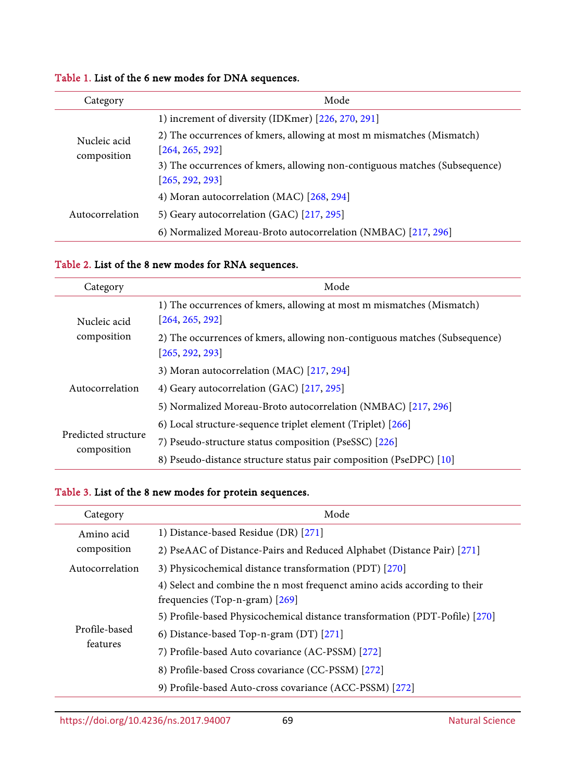| Category                    | Mode                                                                       |
|-----------------------------|----------------------------------------------------------------------------|
| Nucleic acid<br>composition | 1) increment of diversity (IDKmer) [226, 270, 291]                         |
|                             | 2) The occurrences of kmers, allowing at most m mismatches (Mismatch)      |
|                             | [264, 265, 292]                                                            |
|                             | 3) The occurrences of kmers, allowing non-contiguous matches (Subsequence) |
|                             | [265, 292, 293]                                                            |
| Autocorrelation             | 4) Moran autocorrelation (MAC) [268, 294]                                  |
|                             | 5) Geary autocorrelation (GAC) [217, 295]                                  |
|                             | 6) Normalized Moreau-Broto autocorrelation (NMBAC) [217, 296]              |

# <span id="page-2-0"></span>Table 1. List of the 6 new modes for DNA sequences.

# <span id="page-2-1"></span>Table 2. List of the 8 new modes for RNA sequences.

| Category                           | Mode                                                                                          |
|------------------------------------|-----------------------------------------------------------------------------------------------|
| Nucleic acid<br>composition        | 1) The occurrences of kmers, allowing at most m mismatches (Mismatch)<br>[264, 265, 292]      |
|                                    | 2) The occurrences of kmers, allowing non-contiguous matches (Subsequence)<br>[265, 292, 293] |
| Autocorrelation                    | 3) Moran autocorrelation (MAC) [217, 294]                                                     |
|                                    | 4) Geary autocorrelation (GAC) [217, 295]                                                     |
|                                    | 5) Normalized Moreau-Broto autocorrelation (NMBAC) [217, 296]                                 |
| Predicted structure<br>composition | 6) Local structure-sequence triplet element (Triplet) [266]                                   |
|                                    | 7) Pseudo-structure status composition (PseSSC) [226]                                         |
|                                    | 8) Pseudo-distance structure status pair composition (PseDPC) [10]                            |

# <span id="page-2-2"></span>Table 3. List of the 8 new modes for protein sequences.

| Category                  | Mode                                                                                                          |
|---------------------------|---------------------------------------------------------------------------------------------------------------|
| Amino acid<br>composition | 1) Distance-based Residue (DR) [271]                                                                          |
|                           | 2) PseAAC of Distance-Pairs and Reduced Alphabet (Distance Pair) [271]                                        |
| Autocorrelation           | 3) Physicochemical distance transformation (PDT) [270]                                                        |
| Profile-based<br>features | 4) Select and combine the n most frequenct amino acids according to their<br>frequencies (Top-n-gram) $[269]$ |
|                           | 5) Profile-based Physicochemical distance transformation (PDT-Pofile) [270]                                   |
|                           | 6) Distance-based Top-n-gram (DT) [271]                                                                       |
|                           | 7) Profile-based Auto covariance (AC-PSSM) [272]                                                              |
|                           | 8) Profile-based Cross covariance (CC-PSSM) [272]                                                             |
|                           | 9) Profile-based Auto-cross covariance (ACC-PSSM) [272]                                                       |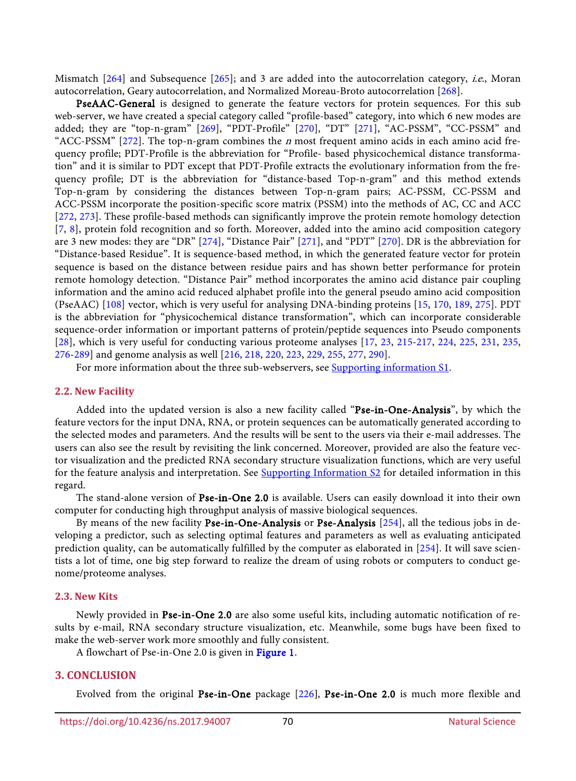Mismatch [\[264\]](#page-22-1) and Subsequence [\[265\]](#page-22-2); and 3 are added into the autocorrelation category, *i.e.*, Moran autocorrelation, Geary autocorrelation, and Normalized Moreau-Broto autocorrelation [\[268\]](#page-22-6).

PseAAC-General is designed to generate the feature vectors for protein sequences. For this sub web-server, we have created a special category called "profile-based" category, into which 6 new modes are added; they are "top-n-gram" [\[269\]](#page-22-8), "PDT-Profile" [\[270\]](#page-22-5), "DT" [\[271\]](#page-22-7), "AC-PSSM", "CC-PSSM" and "ACC-PSSM"  $[272]$ . The top-n-gram combines the *n* most frequent amino acids in each amino acid frequency profile; PDT-Profile is the abbreviation for "Profile- based physicochemical distance transformation" and it is similar to PDT except that PDT-Profile extracts the evolutionary information from the frequency profile; DT is the abbreviation for "distance-based Top-n-gram" and this method extends Top-n-gram by considering the distances between Top-n-gram pairs; AC-PSSM, CC-PSSM and ACC-PSSM incorporate the position-specific score matrix (PSSM) into the methods of AC, CC and ACC [\[272,](#page-22-9) [273\]](#page-22-10). These profile-based methods can significantly improve the protein remote homology detection [\[7,](#page-5-7) [8\]](#page-5-9), protein fold recognition and so forth. Moreover, added into the amino acid composition category are 3 new modes: they are "DR" [\[274\]](#page-23-0), "Distance Pair" [\[271\]](#page-22-7), and "PDT" [\[270\]](#page-22-5). DR is the abbreviation for "Distance-based Residue". It is sequence-based method, in which the generated feature vector for protein sequence is based on the distance between residue pairs and has shown better performance for protein remote homology detection. "Distance Pair" method incorporates the amino acid distance pair coupling information and the amino acid reduced alphabet profile into the general pseudo amino acid composition (PseAAC) [\[108\]](#page-11-0) vector, which is very useful for analysing DNA-binding proteins [\[15,](#page-5-6) [170,](#page-16-0) [189,](#page-17-0) [275\]](#page-23-1). PDT is the abbreviation for "physicochemical distance transformation", which can incorporate considerable sequence-order information or important patterns of protein/peptide sequences into Pseudo components [\[28\]](#page-6-5), which is very useful for conducting various proteome analyses [\[17,](#page-6-10) [23,](#page-6-1) [215-](#page-19-3)[217,](#page-19-5) [224,](#page-19-6) [225,](#page-19-7) [231,](#page-20-1) [235,](#page-20-2) [276-](#page-23-2)[289\]](#page-23-3) and genome analysis as well [\[216,](#page-19-10) [218,](#page-19-11) [220,](#page-19-12) [223,](#page-19-4) [229,](#page-20-3) [255,](#page-21-0) [277,](#page-23-4) [290\]](#page-24-6).

For more information about the three sub-webservers, see [Supporting information S1.](#page-4-0)

#### **2.2. New Facility**

Added into the updated version is also a new facility called "Pse-in-One-Analysis", by which the feature vectors for the input DNA, RNA, or protein sequences can be automatically generated according to the selected modes and parameters. And the results will be sent to the users via their e-mail addresses. The users can also see the result by revisiting the link concerned. Moreover, provided are also the feature vector visualization and the predicted RNA secondary structure visualization functions, which are very useful for the feature analysis and interpretation. See [Supporting Information S2](#page-5-10) for detailed information in this regard.

The stand-alone version of Pse-in-One 2.0 is available. Users can easily download it into their own computer for conducting high throughput analysis of massive biological sequences.

By means of the new facility Pse-in-One-Analysis or Pse-Analysis [\[254\]](#page-21-1), all the tedious jobs in developing a predictor, such as selecting optimal features and parameters as well as evaluating anticipated prediction quality, can be automatically fulfilled by the computer as elaborated in [\[254\]](#page-21-1). It will save scientists a lot of time, one big step forward to realize the dream of using robots or computers to conduct genome/proteome analyses.

#### **2.3. New Kits**

Newly provided in Pse-in-One 2.0 are also some useful kits, including automatic notification of results by e-mail, RNA secondary structure visualization, etc. Meanwhile, some bugs have been fixed to make the web-server work more smoothly and fully consistent.

A flowchart of Pse-in-One 2.0 is given in [Figure 1.](#page-4-1)

### **3. CONCLUSION**

Evolved from the original Pse-in-One package [\[226](#page-19-8)], Pse-in-One 2.0 is much more flexible and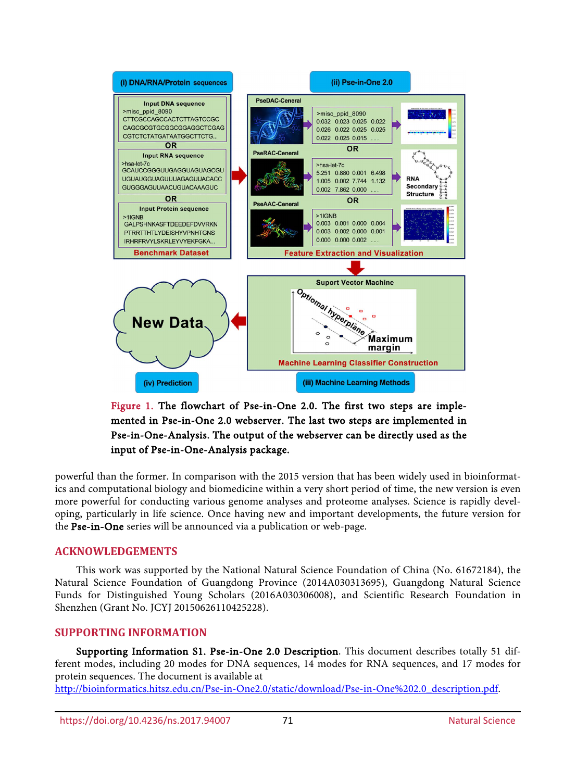<span id="page-4-1"></span>

Figure 1. The flowchart of Pse-in-One 2.0. The first two steps are implemented in Pse-in-One 2.0 webserver. The last two steps are implemented in Pse-in-One-Analysis. The output of the webserver can be directly used as the input of Pse-in-One-Analysis package.

powerful than the former. In comparison with the 2015 version that has been widely used in bioinformatics and computational biology and biomedicine within a very short period of time, the new version is even more powerful for conducting various genome analyses and proteome analyses. Science is rapidly developing, particularly in life science. Once having new and important developments, the future version for the Pse-in-One series will be announced via a publication or web-page.

# **ACKNOWLEDGEMENTS**

This work was supported by the National Natural Science Foundation of China (No. 61672184), the Natural Science Foundation of Guangdong Province (2014A030313695), Guangdong Natural Science Funds for Distinguished Young Scholars (2016A030306008), and Scientific Research Foundation in Shenzhen (Grant No. JCYJ 20150626110425228).

## **SUPPORTING INFORMATION**

<span id="page-4-0"></span>Supporting Information S1. Pse-in-One 2.0 Description. This document describes totally 51 different modes, including 20 modes for DNA sequences, 14 modes for RNA sequences, and 17 modes for protein sequences. The document is available at [http://bioinformatics.hitsz.edu.cn/Pse-in-One2.0/static/download/Pse-in-One%202.0\\_description.pdf.](http://bioinformatics.hitsz.edu.cn/Pse-in-One2.0/static/download/Pse-in-One%202.0_description.pdf)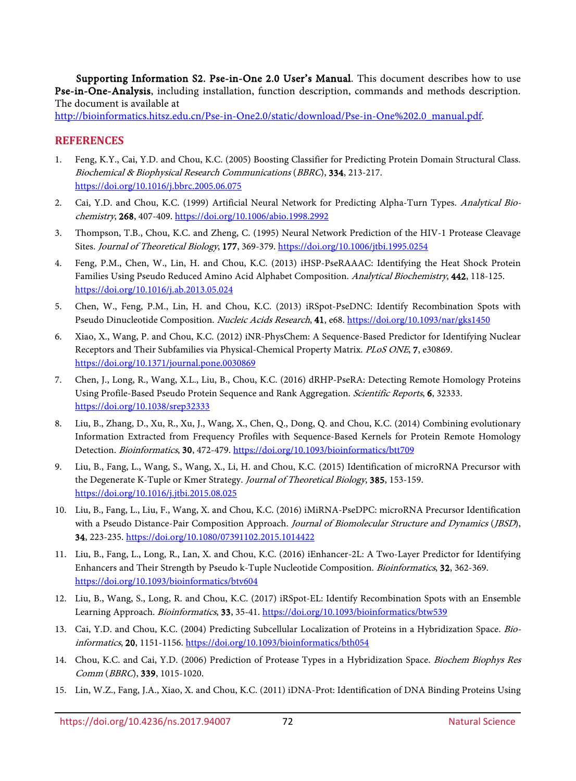<span id="page-5-10"></span>Supporting Information S2. Pse-in-One 2.0 User's Manual. This document describes how to use Pse-in-One-Analysis, including installation, function description, commands and methods description. The document is available at

[http://bioinformatics.hitsz.edu.cn/Pse-in-One2.0/static/download/Pse-in-One%202.0\\_manual.pdf.](http://bioinformatics.hitsz.edu.cn/Pse-in-One2.0/static/download/Pse-in-One%202.0_manual.pdf)

# **REFERENCES**

- <span id="page-5-0"></span>1. Feng, K.Y., Cai, Y.D. and Chou, K.C. (2005) Boosting Classifier for Predicting Protein Domain Structural Class. Biochemical & Biophysical Research Communications (BBRC), 334, 213-217. <https://doi.org/10.1016/j.bbrc.2005.06.075>
- 2. Cai, Y.D. and Chou, K.C. (1999) Artificial Neural Network for Predicting Alpha-Turn Types. Analytical Biochemistry, 268, 407-409.<https://doi.org/10.1006/abio.1998.2992>
- <span id="page-5-1"></span>3. Thompson, T.B., Chou, K.C. and Zheng, C. (1995) Neural Network Prediction of the HIV-1 Protease Cleavage Sites. Journal of Theoretical Biology, 177, 369-379[. https://doi.org/10.1006/jtbi.1995.0254](https://doi.org/10.1006/jtbi.1995.0254)
- <span id="page-5-2"></span>4. Feng, P.M., Chen, W., Lin, H. and Chou, K.C. (2013) iHSP-PseRAAAC: Identifying the Heat Shock Protein Families Using Pseudo Reduced Amino Acid Alphabet Composition. Analytical Biochemistry, 442, 118-125. <https://doi.org/10.1016/j.ab.2013.05.024>
- 5. Chen, W., Feng, P.M., Lin, H. and Chou, K.C. (2013) iRSpot-PseDNC: Identify Recombination Spots with Pseudo Dinucleotide Composition. Nucleic Acids Research, 41, e68.<https://doi.org/10.1093/nar/gks1450>
- 6. Xiao, X., Wang, P. and Chou, K.C. (2012) iNR-PhysChem: A Sequence-Based Predictor for Identifying Nuclear Receptors and Their Subfamilies via Physical-Chemical Property Matrix. PLoS ONE, 7, e30869. <https://doi.org/10.1371/journal.pone.0030869>
- <span id="page-5-7"></span>7. Chen, J., Long, R., Wang, X.L., Liu, B., Chou, K.C. (2016) dRHP-PseRA: Detecting Remote Homology Proteins Using Profile-Based Pseudo Protein Sequence and Rank Aggregation. *Scientific Reports*, 6, 32333. <https://doi.org/10.1038/srep32333>
- <span id="page-5-9"></span>8. Liu, B., Zhang, D., Xu, R., Xu, J., Wang, X., Chen, Q., Dong, Q. and Chou, K.C. (2014) Combining evolutionary Information Extracted from Frequency Profiles with Sequence-Based Kernels for Protein Remote Homology Detection. Bioinformatics, 30, 472-479.<https://doi.org/10.1093/bioinformatics/btt709>
- 9. Liu, B., Fang, L., Wang, S., Wang, X., Li, H. and Chou, K.C. (2015) Identification of microRNA Precursor with the Degenerate K-Tuple or Kmer Strategy. Journal of Theoretical Biology, 385, 153-159. <https://doi.org/10.1016/j.jtbi.2015.08.025>
- <span id="page-5-8"></span>10. Liu, B., Fang, L., Liu, F., Wang, X. and Chou, K.C. (2016) iMiRNA-PseDPC: microRNA Precursor Identification with a Pseudo Distance-Pair Composition Approach. Journal of Biomolecular Structure and Dynamics (JBSD), 34, 223-235[. https://doi.org/10.1080/07391102.2015.1014422](https://doi.org/10.1080/07391102.2015.1014422)
- 11. Liu, B., Fang, L., Long, R., Lan, X. and Chou, K.C. (2016) iEnhancer-2L: A Two-Layer Predictor for Identifying Enhancers and Their Strength by Pseudo k-Tuple Nucleotide Composition. Bioinformatics, 32, 362-369. <https://doi.org/10.1093/bioinformatics/btv604>
- <span id="page-5-3"></span>12. Liu, B., Wang, S., Long, R. and Chou, K.C. (2017) iRSpot-EL: Identify Recombination Spots with an Ensemble Learning Approach. Bioinformatics, 33, 35-41[. https://doi.org/10.1093/bioinformatics/btw539](https://doi.org/10.1093/bioinformatics/btw539)
- <span id="page-5-4"></span>13. Cai, Y.D. and Chou, K.C. (2004) Predicting Subcellular Localization of Proteins in a Hybridization Space. Bioinformatics, 20, 1151-1156.<https://doi.org/10.1093/bioinformatics/bth054>
- <span id="page-5-5"></span>14. Chou, K.C. and Cai, Y.D. (2006) Prediction of Protease Types in a Hybridization Space. Biochem Biophys Res Comm (BBRC), 339, 1015-1020.
- <span id="page-5-6"></span>15. Lin, W.Z., Fang, J.A., Xiao, X. and Chou, K.C. (2011) iDNA-Prot: Identification of DNA Binding Proteins Using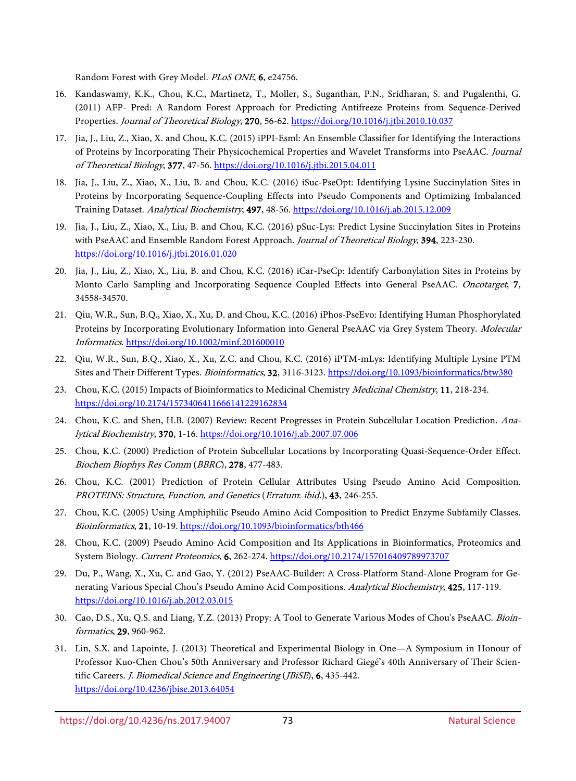Random Forest with Grey Model. PLoS ONE, 6, e24756.

- 16. Kandaswamy, K.K., Chou, K.C., Martinetz, T., Moller, S., Suganthan, P.N., Sridharan, S. and Pugalenthi, G. (2011) AFP- Pred: A Random Forest Approach for Predicting Antifreeze Proteins from Sequence-Derived Properties. Journal of Theoretical Biology, 270, 56-62.<https://doi.org/10.1016/j.jtbi.2010.10.037>
- <span id="page-6-10"></span>17. Jia, J., Liu, Z., Xiao, X. and Chou, K.C. (2015) iPPI-Esml: An Ensemble Classifier for Identifying the Interactions of Proteins by Incorporating Their Physicochemical Properties and Wavelet Transforms into PseAAC. Journal of Theoretical Biology, 377, 47-56[. https://doi.org/10.1016/j.jtbi.2015.04.011](https://doi.org/10.1016/j.jtbi.2015.04.011)
- <span id="page-6-9"></span>18. Jia, J., Liu, Z., Xiao, X., Liu, B. and Chou, K.C. (2016) iSuc-PseOpt: Identifying Lysine Succinylation Sites in Proteins by Incorporating Sequence-Coupling Effects into Pseudo Components and Optimizing Imbalanced Training Dataset. Analytical Biochemistry, 497, 48-56.<https://doi.org/10.1016/j.ab.2015.12.009>
- 19. Jia, J., Liu, Z., Xiao, X., Liu, B. and Chou, K.C. (2016) pSuc-Lys: Predict Lysine Succinylation Sites in Proteins with PseAAC and Ensemble Random Forest Approach. Journal of Theoretical Biology, 394, 223-230. <https://doi.org/10.1016/j.jtbi.2016.01.020>
- 20. Jia, J., Liu, Z., Xiao, X., Liu, B. and Chou, K.C. (2016) iCar-PseCp: Identify Carbonylation Sites in Proteins by Monto Carlo Sampling and Incorporating Sequence Coupled Effects into General PseAAC. Oncotarget, 7, 34558-34570.
- 21. Qiu, W.R., Sun, B.Q., Xiao, X., Xu, D. and Chou, K.C. (2016) iPhos-PseEvo: Identifying Human Phosphorylated Proteins by Incorporating Evolutionary Information into General PseAAC via Grey System Theory. Molecular Informatics. <https://doi.org/10.1002/minf.201600010>
- <span id="page-6-0"></span>22. Qiu, W.R., Sun, B.Q., Xiao, X., Xu, Z.C. and Chou, K.C. (2016) iPTM-mLys: Identifying Multiple Lysine PTM Sites and Their Different Types. Bioinformatics, 32, 3116-3123.<https://doi.org/10.1093/bioinformatics/btw380>
- <span id="page-6-1"></span>23. Chou, K.C. (2015) Impacts of Bioinformatics to Medicinal Chemistry Medicinal Chemistry, 11, 218-234. <https://doi.org/10.2174/1573406411666141229162834>
- <span id="page-6-2"></span>24. Chou, K.C. and Shen, H.B. (2007) Review: Recent Progresses in Protein Subcellular Location Prediction. Analytical Biochemistry, 370, 1-16.<https://doi.org/10.1016/j.ab.2007.07.006>
- <span id="page-6-3"></span>25. Chou, K.C. (2000) Prediction of Protein Subcellular Locations by Incorporating Quasi-Sequence-Order Effect. Biochem Biophys Res Comm (BBRC), 278, 477-483.
- <span id="page-6-4"></span>26. Chou, K.C. (2001) Prediction of Protein Cellular Attributes Using Pseudo Amino Acid Composition. PROTEINS: Structure, Function, and Genetics (Erratum: ibid.), 43, 246-255.
- 27. Chou, K.C. (2005) Using Amphiphilic Pseudo Amino Acid Composition to Predict Enzyme Subfamily Classes. Bioinformatics, 21, 10-19[. https://doi.org/10.1093/bioinformatics/bth466](https://doi.org/10.1093/bioinformatics/bth466)
- <span id="page-6-5"></span>28. Chou, K.C. (2009) Pseudo Amino Acid Composition and Its Applications in Bioinformatics, Proteomics and System Biology. Current Proteomics, 6, 262-274.<https://doi.org/10.2174/157016409789973707>
- <span id="page-6-6"></span>29. Du, P., Wang, X., Xu, C. and Gao, Y. (2012) PseAAC-Builder: A Cross-Platform Stand-Alone Program for Generating Various Special Chou's Pseudo Amino Acid Compositions. Analytical Biochemistry, 425, 117-119. <https://doi.org/10.1016/j.ab.2012.03.015>
- <span id="page-6-8"></span>30. Cao, D.S., Xu, Q.S. and Liang, Y.Z. (2013) Propy: A Tool to Generate Various Modes of Chou's PseAAC. Bioinformatics, 29, 960-962.
- <span id="page-6-7"></span>31. Lin, S.X. and Lapointe, J. (2013) Theoretical and Experimental Biology in One—A Symposium in Honour of Professor Kuo-Chen Chou's 50th Anniversary and Professor Richard Giegé's 40th Anniversary of Their Scientific Careers. *J. Biomedical Science and Engineering* (*JBiSE*), 6, 435-442. <https://doi.org/10.4236/jbise.2013.64054>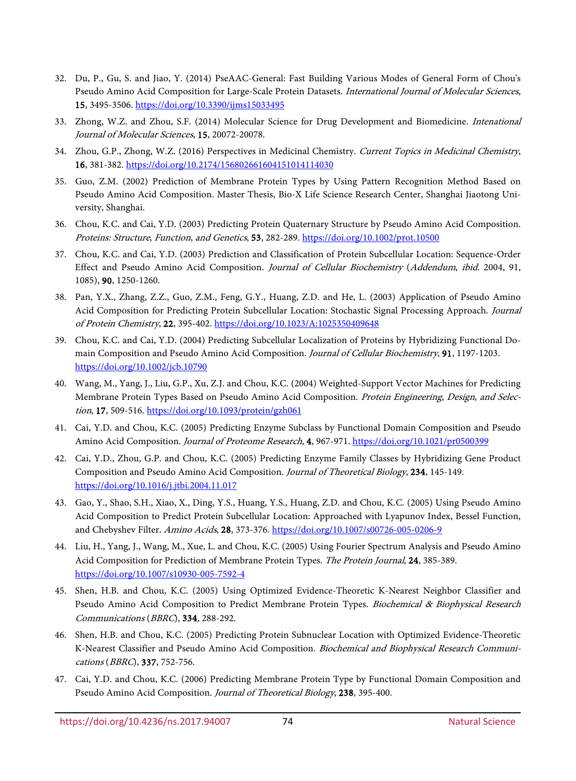- <span id="page-7-0"></span>32. Du, P., Gu, S. and Jiao, Y. (2014) PseAAC-General: Fast Building Various Modes of General Form of Chou's Pseudo Amino Acid Composition for Large-Scale Protein Datasets. International Journal of Molecular Sciences, 15, 3495-3506.<https://doi.org/10.3390/ijms15033495>
- <span id="page-7-1"></span>33. Zhong, W.Z. and Zhou, S.F. (2014) Molecular Science for Drug Development and Biomedicine. Intenational Journal of Molecular Sciences, 15, 20072-20078.
- <span id="page-7-2"></span>34. Zhou, G.P., Zhong, W.Z. (2016) Perspectives in Medicinal Chemistry. Current Topics in Medicinal Chemistry, 16, 381-382[. https://doi.org/10.2174/156802661604151014114030](https://doi.org/10.2174/156802661604151014114030)
- <span id="page-7-3"></span>35. Guo, Z.M. (2002) Prediction of Membrane Protein Types by Using Pattern Recognition Method Based on Pseudo Amino Acid Composition. Master Thesis, Bio-X Life Science Research Center, Shanghai Jiaotong University, Shanghai.
- 36. Chou, K.C. and Cai, Y.D. (2003) Predicting Protein Quaternary Structure by Pseudo Amino Acid Composition. Proteins: Structure, Function, and Genetics, 53, 282-289[. https://doi.org/10.1002/prot.10500](https://doi.org/10.1002/prot.10500)
- 37. Chou, K.C. and Cai, Y.D. (2003) Prediction and Classification of Protein Subcellular Location: Sequence-Order Effect and Pseudo Amino Acid Composition. Journal of Cellular Biochemistry (Addendum, ibid. 2004, 91, 1085), 90, 1250-1260.
- 38. Pan, Y.X., Zhang, Z.Z., Guo, Z.M., Feng, G.Y., Huang, Z.D. and He, L. (2003) Application of Pseudo Amino Acid Composition for Predicting Protein Subcellular Location: Stochastic Signal Processing Approach. Journal of Protein Chemistry, 22, 395-402[. https://doi.org/10.1023/A:1025350409648](https://doi.org/10.1023/A:1025350409648)
- 39. Chou, K.C. and Cai, Y.D. (2004) Predicting Subcellular Localization of Proteins by Hybridizing Functional Domain Composition and Pseudo Amino Acid Composition. Journal of Cellular Biochemistry, 91, 1197-1203. <https://doi.org/10.1002/jcb.10790>
- 40. Wang, M., Yang, J., Liu, G.P., Xu, Z.J. and Chou, K.C. (2004) Weighted-Support Vector Machines for Predicting Membrane Protein Types Based on Pseudo Amino Acid Composition. Protein Engineering, Design, and Selection, 17, 509-516.<https://doi.org/10.1093/protein/gzh061>
- 41. Cai, Y.D. and Chou, K.C. (2005) Predicting Enzyme Subclass by Functional Domain Composition and Pseudo Amino Acid Composition. Journal of Proteome Research, 4, 967-971[. https://doi.org/10.1021/pr0500399](https://doi.org/10.1021/pr0500399)
- 42. Cai, Y.D., Zhou, G.P. and Chou, K.C. (2005) Predicting Enzyme Family Classes by Hybridizing Gene Product Composition and Pseudo Amino Acid Composition. Journal of Theoretical Biology, 234, 145-149. <https://doi.org/10.1016/j.jtbi.2004.11.017>
- 43. Gao, Y., Shao, S.H., Xiao, X., Ding, Y.S., Huang, Y.S., Huang, Z.D. and Chou, K.C. (2005) Using Pseudo Amino Acid Composition to Predict Protein Subcellular Location: Approached with Lyapunov Index, Bessel Function, and Chebyshev Filter. Amino Acids, 28, 373-376.<https://doi.org/10.1007/s00726-005-0206-9>
- 44. Liu, H., Yang, J., Wang, M., Xue, L. and Chou, K.C. (2005) Using Fourier Spectrum Analysis and Pseudo Amino Acid Composition for Prediction of Membrane Protein Types. The Protein Journal, 24, 385-389. <https://doi.org/10.1007/s10930-005-7592-4>
- 45. Shen, H.B. and Chou, K.C. (2005) Using Optimized Evidence-Theoretic K-Nearest Neighbor Classifier and Pseudo Amino Acid Composition to Predict Membrane Protein Types. Biochemical & Biophysical Research Communications (BBRC), 334, 288-292.
- 46. Shen, H.B. and Chou, K.C. (2005) Predicting Protein Subnuclear Location with Optimized Evidence-Theoretic K-Nearest Classifier and Pseudo Amino Acid Composition. Biochemical and Biophysical Research Communications (BBRC), 337, 752-756.
- 47. Cai, Y.D. and Chou, K.C. (2006) Predicting Membrane Protein Type by Functional Domain Composition and Pseudo Amino Acid Composition. Journal of Theoretical Biology, 238, 395-400.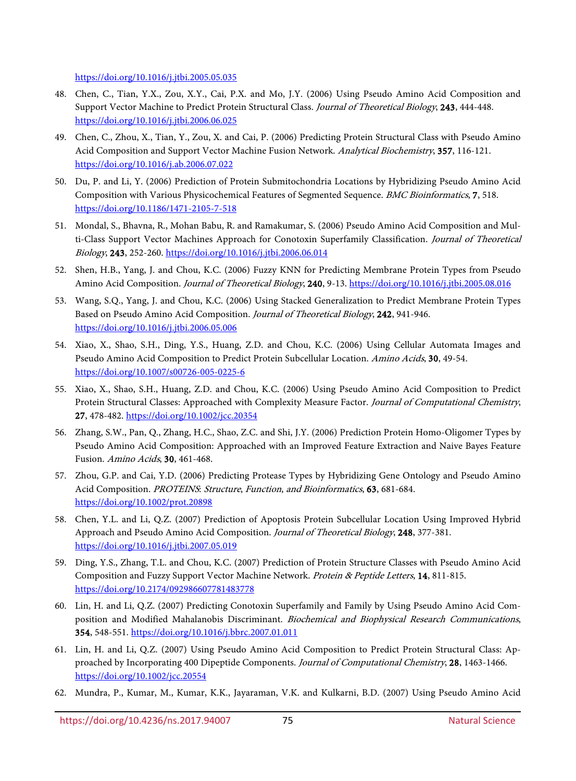<https://doi.org/10.1016/j.jtbi.2005.05.035>

- 48. Chen, C., Tian, Y.X., Zou, X.Y., Cai, P.X. and Mo, J.Y. (2006) Using Pseudo Amino Acid Composition and Support Vector Machine to Predict Protein Structural Class. Journal of Theoretical Biology, 243, 444-448. <https://doi.org/10.1016/j.jtbi.2006.06.025>
- 49. Chen, C., Zhou, X., Tian, Y., Zou, X. and Cai, P. (2006) Predicting Protein Structural Class with Pseudo Amino Acid Composition and Support Vector Machine Fusion Network. Analytical Biochemistry, 357, 116-121. <https://doi.org/10.1016/j.ab.2006.07.022>
- 50. Du, P. and Li, Y. (2006) Prediction of Protein Submitochondria Locations by Hybridizing Pseudo Amino Acid Composition with Various Physicochemical Features of Segmented Sequence. BMC Bioinformatics, 7, 518. <https://doi.org/10.1186/1471-2105-7-518>
- 51. Mondal, S., Bhavna, R., Mohan Babu, R. and Ramakumar, S. (2006) Pseudo Amino Acid Composition and Multi-Class Support Vector Machines Approach for Conotoxin Superfamily Classification. Journal of Theoretical Biology, 243, 252-260[. https://doi.org/10.1016/j.jtbi.2006.06.014](https://doi.org/10.1016/j.jtbi.2006.06.014)
- 52. Shen, H.B., Yang, J. and Chou, K.C. (2006) Fuzzy KNN for Predicting Membrane Protein Types from Pseudo Amino Acid Composition. Journal of Theoretical Biology, 240, 9-13.<https://doi.org/10.1016/j.jtbi.2005.08.016>
- 53. Wang, S.Q., Yang, J. and Chou, K.C. (2006) Using Stacked Generalization to Predict Membrane Protein Types Based on Pseudo Amino Acid Composition. Journal of Theoretical Biology, 242, 941-946. <https://doi.org/10.1016/j.jtbi.2006.05.006>
- 54. Xiao, X., Shao, S.H., Ding, Y.S., Huang, Z.D. and Chou, K.C. (2006) Using Cellular Automata Images and Pseudo Amino Acid Composition to Predict Protein Subcellular Location. Amino Acids, 30, 49-54. <https://doi.org/10.1007/s00726-005-0225-6>
- 55. Xiao, X., Shao, S.H., Huang, Z.D. and Chou, K.C. (2006) Using Pseudo Amino Acid Composition to Predict Protein Structural Classes: Approached with Complexity Measure Factor. Journal of Computational Chemistry, 27, 478-482[. https://doi.org/10.1002/jcc.20354](https://doi.org/10.1002/jcc.20354)
- 56. Zhang, S.W., Pan, Q., Zhang, H.C., Shao, Z.C. and Shi, J.Y. (2006) Prediction Protein Homo-Oligomer Types by Pseudo Amino Acid Composition: Approached with an Improved Feature Extraction and Naive Bayes Feature Fusion. Amino Acids, 30, 461-468.
- 57. Zhou, G.P. and Cai, Y.D. (2006) Predicting Protease Types by Hybridizing Gene Ontology and Pseudo Amino Acid Composition. PROTEINS: Structure, Function, and Bioinformatics, 63, 681-684. <https://doi.org/10.1002/prot.20898>
- 58. Chen, Y.L. and Li, Q.Z. (2007) Prediction of Apoptosis Protein Subcellular Location Using Improved Hybrid Approach and Pseudo Amino Acid Composition. Journal of Theoretical Biology, 248, 377-381. <https://doi.org/10.1016/j.jtbi.2007.05.019>
- 59. Ding, Y.S., Zhang, T.L. and Chou, K.C. (2007) Prediction of Protein Structure Classes with Pseudo Amino Acid Composition and Fuzzy Support Vector Machine Network. Protein & Peptide Letters, 14, 811-815. <https://doi.org/10.2174/092986607781483778>
- 60. Lin, H. and Li, Q.Z. (2007) Predicting Conotoxin Superfamily and Family by Using Pseudo Amino Acid Composition and Modified Mahalanobis Discriminant. Biochemical and Biophysical Research Communications, 354, 548-551[. https://doi.org/10.1016/j.bbrc.2007.01.011](https://doi.org/10.1016/j.bbrc.2007.01.011)
- 61. Lin, H. and Li, Q.Z. (2007) Using Pseudo Amino Acid Composition to Predict Protein Structural Class: Approached by Incorporating 400 Dipeptide Components. Journal of Computational Chemistry, 28, 1463-1466. <https://doi.org/10.1002/jcc.20554>
- 62. Mundra, P., Kumar, M., Kumar, K.K., Jayaraman, V.K. and Kulkarni, B.D. (2007) Using Pseudo Amino Acid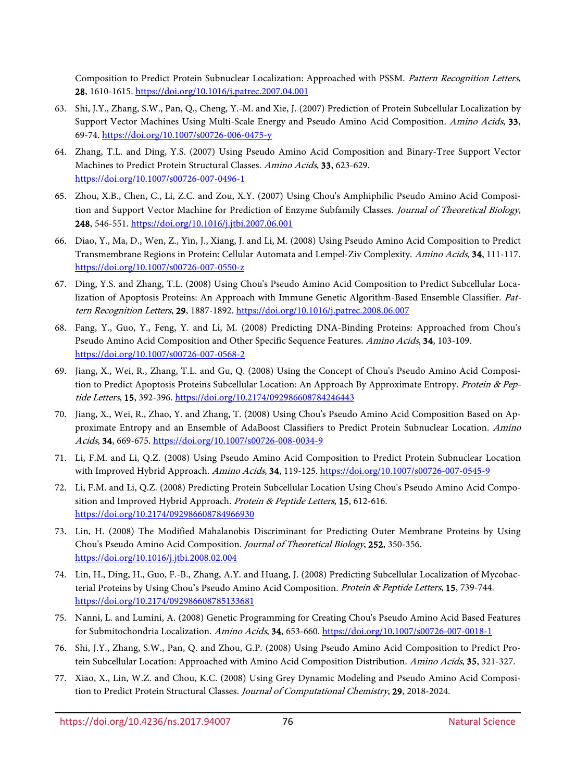Composition to Predict Protein Subnuclear Localization: Approached with PSSM. Pattern Recognition Letters, 28, 1610-1615.<https://doi.org/10.1016/j.patrec.2007.04.001>

- 63. Shi, J.Y., Zhang, S.W., Pan, Q., Cheng, Y.-M. and Xie, J. (2007) Prediction of Protein Subcellular Localization by Support Vector Machines Using Multi-Scale Energy and Pseudo Amino Acid Composition. Amino Acids, 33, 69-74[. https://doi.org/10.1007/s00726-006-0475-y](https://doi.org/10.1007/s00726-006-0475-y)
- 64. Zhang, T.L. and Ding, Y.S. (2007) Using Pseudo Amino Acid Composition and Binary-Tree Support Vector Machines to Predict Protein Structural Classes. Amino Acids, 33, 623-629. <https://doi.org/10.1007/s00726-007-0496-1>
- 65. Zhou, X.B., Chen, C., Li, Z.C. and Zou, X.Y. (2007) Using Chou's Amphiphilic Pseudo Amino Acid Composition and Support Vector Machine for Prediction of Enzyme Subfamily Classes. Journal of Theoretical Biology, 248, 546-551[. https://doi.org/10.1016/j.jtbi.2007.06.001](https://doi.org/10.1016/j.jtbi.2007.06.001)
- 66. Diao, Y., Ma, D., Wen, Z., Yin, J., Xiang, J. and Li, M. (2008) Using Pseudo Amino Acid Composition to Predict Transmembrane Regions in Protein: Cellular Automata and Lempel-Ziv Complexity. Amino Acids, 34, 111-117. <https://doi.org/10.1007/s00726-007-0550-z>
- 67. Ding, Y.S. and Zhang, T.L. (2008) Using Chou's Pseudo Amino Acid Composition to Predict Subcellular Localization of Apoptosis Proteins: An Approach with Immune Genetic Algorithm-Based Ensemble Classifier. Pattern Recognition Letters, 29, 1887-1892.<https://doi.org/10.1016/j.patrec.2008.06.007>
- 68. Fang, Y., Guo, Y., Feng, Y. and Li, M. (2008) Predicting DNA-Binding Proteins: Approached from Chou's Pseudo Amino Acid Composition and Other Specific Sequence Features. Amino Acids, 34, 103-109. <https://doi.org/10.1007/s00726-007-0568-2>
- 69. Jiang, X., Wei, R., Zhang, T.L. and Gu, Q. (2008) Using the Concept of Chou's Pseudo Amino Acid Composition to Predict Apoptosis Proteins Subcellular Location: An Approach By Approximate Entropy. Protein & Peptide Letters, 15, 392-396.<https://doi.org/10.2174/092986608784246443>
- 70. Jiang, X., Wei, R., Zhao, Y. and Zhang, T. (2008) Using Chou's Pseudo Amino Acid Composition Based on Approximate Entropy and an Ensemble of AdaBoost Classifiers to Predict Protein Subnuclear Location. Amino Acids, 34, 669-675.<https://doi.org/10.1007/s00726-008-0034-9>
- 71. Li, F.M. and Li, Q.Z. (2008) Using Pseudo Amino Acid Composition to Predict Protein Subnuclear Location with Improved Hybrid Approach. Amino Acids, 34, 119-125.<https://doi.org/10.1007/s00726-007-0545-9>
- 72. Li, F.M. and Li, Q.Z. (2008) Predicting Protein Subcellular Location Using Chou's Pseudo Amino Acid Composition and Improved Hybrid Approach. Protein & Peptide Letters, 15, 612-616. <https://doi.org/10.2174/092986608784966930>
- 73. Lin, H. (2008) The Modified Mahalanobis Discriminant for Predicting Outer Membrane Proteins by Using Chou's Pseudo Amino Acid Composition. Journal of Theoretical Biology, 252, 350-356. <https://doi.org/10.1016/j.jtbi.2008.02.004>
- 74. Lin, H., Ding, H., Guo, F.-B., Zhang, A.Y. and Huang, J. (2008) Predicting Subcellular Localization of Mycobacterial Proteins by Using Chou's Pseudo Amino Acid Composition. Protein & Peptide Letters, 15, 739-744. <https://doi.org/10.2174/092986608785133681>
- 75. Nanni, L. and Lumini, A. (2008) Genetic Programming for Creating Chou's Pseudo Amino Acid Based Features for Submitochondria Localization. Amino Acids, 34, 653-660.<https://doi.org/10.1007/s00726-007-0018-1>
- 76. Shi, J.Y., Zhang, S.W., Pan, Q. and Zhou, G.P. (2008) Using Pseudo Amino Acid Composition to Predict Protein Subcellular Location: Approached with Amino Acid Composition Distribution. Amino Acids, 35, 321-327.
- 77. Xiao, X., Lin, W.Z. and Chou, K.C. (2008) Using Grey Dynamic Modeling and Pseudo Amino Acid Composition to Predict Protein Structural Classes. Journal of Computational Chemistry, 29, 2018-2024.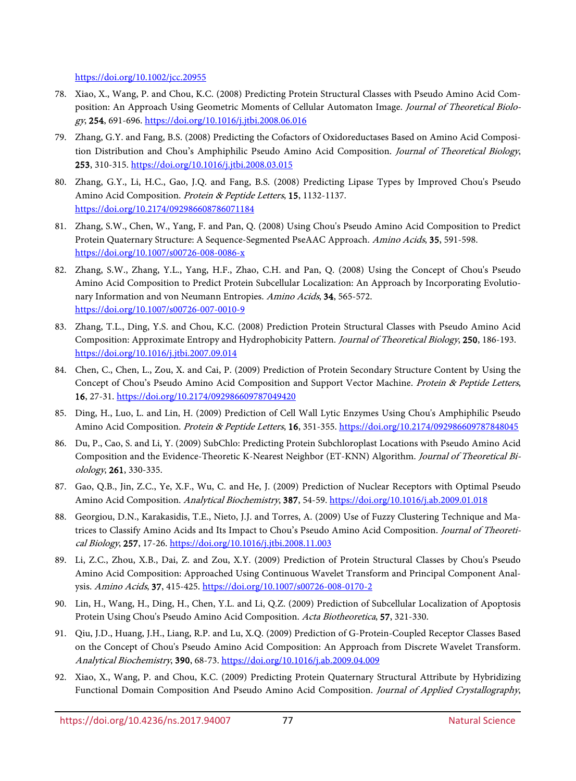<https://doi.org/10.1002/jcc.20955>

- 78. Xiao, X., Wang, P. and Chou, K.C. (2008) Predicting Protein Structural Classes with Pseudo Amino Acid Composition: An Approach Using Geometric Moments of Cellular Automaton Image. Journal of Theoretical Biology, 254, 691-696.<https://doi.org/10.1016/j.jtbi.2008.06.016>
- 79. Zhang, G.Y. and Fang, B.S. (2008) Predicting the Cofactors of Oxidoreductases Based on Amino Acid Composition Distribution and Chou's Amphiphilic Pseudo Amino Acid Composition. Journal of Theoretical Biology, 253, 310-315[. https://doi.org/10.1016/j.jtbi.2008.03.015](https://doi.org/10.1016/j.jtbi.2008.03.015)
- 80. Zhang, G.Y., Li, H.C., Gao, J.Q. and Fang, B.S. (2008) Predicting Lipase Types by Improved Chou's Pseudo Amino Acid Composition. Protein & Peptide Letters, 15, 1132-1137. <https://doi.org/10.2174/092986608786071184>
- 81. Zhang, S.W., Chen, W., Yang, F. and Pan, Q. (2008) Using Chou's Pseudo Amino Acid Composition to Predict Protein Quaternary Structure: A Sequence-Segmented PseAAC Approach. Amino Acids, 35, 591-598. <https://doi.org/10.1007/s00726-008-0086-x>
- 82. Zhang, S.W., Zhang, Y.L., Yang, H.F., Zhao, C.H. and Pan, Q. (2008) Using the Concept of Chou's Pseudo Amino Acid Composition to Predict Protein Subcellular Localization: An Approach by Incorporating Evolutionary Information and von Neumann Entropies. Amino Acids, 34, 565-572. <https://doi.org/10.1007/s00726-007-0010-9>
- 83. Zhang, T.L., Ding, Y.S. and Chou, K.C. (2008) Prediction Protein Structural Classes with Pseudo Amino Acid Composition: Approximate Entropy and Hydrophobicity Pattern. Journal of Theoretical Biology, 250, 186-193. <https://doi.org/10.1016/j.jtbi.2007.09.014>
- 84. Chen, C., Chen, L., Zou, X. and Cai, P. (2009) Prediction of Protein Secondary Structure Content by Using the Concept of Chou's Pseudo Amino Acid Composition and Support Vector Machine. Protein & Peptide Letters, 16, 27-31[. https://doi.org/10.2174/092986609787049420](https://doi.org/10.2174/092986609787049420)
- 85. Ding, H., Luo, L. and Lin, H. (2009) Prediction of Cell Wall Lytic Enzymes Using Chou's Amphiphilic Pseudo Amino Acid Composition. Protein & Peptide Letters, 16, 351-355.<https://doi.org/10.2174/092986609787848045>
- 86. Du, P., Cao, S. and Li, Y. (2009) SubChlo: Predicting Protein Subchloroplast Locations with Pseudo Amino Acid Composition and the Evidence-Theoretic K-Nearest Neighbor (ET-KNN) Algorithm. Journal of Theoretical Biolology, 261, 330-335.
- 87. Gao, Q.B., Jin, Z.C., Ye, X.F., Wu, C. and He, J. (2009) Prediction of Nuclear Receptors with Optimal Pseudo Amino Acid Composition. Analytical Biochemistry, 387, 54-59.<https://doi.org/10.1016/j.ab.2009.01.018>
- 88. Georgiou, D.N., Karakasidis, T.E., Nieto, J.J. and Torres, A. (2009) Use of Fuzzy Clustering Technique and Matrices to Classify Amino Acids and Its Impact to Chou's Pseudo Amino Acid Composition. Journal of Theoretical Biology, 257, 17-26[. https://doi.org/10.1016/j.jtbi.2008.11.003](https://doi.org/10.1016/j.jtbi.2008.11.003)
- 89. Li, Z.C., Zhou, X.B., Dai, Z. and Zou, X.Y. (2009) Prediction of Protein Structural Classes by Chou's Pseudo Amino Acid Composition: Approached Using Continuous Wavelet Transform and Principal Component Analysis. Amino Acids, 37, 415-425[. https://doi.org/10.1007/s00726-008-0170-2](https://doi.org/10.1007/s00726-008-0170-2)
- 90. Lin, H., Wang, H., Ding, H., Chen, Y.L. and Li, Q.Z. (2009) Prediction of Subcellular Localization of Apoptosis Protein Using Chou's Pseudo Amino Acid Composition. Acta Biotheoretica, 57, 321-330.
- 91. Qiu, J.D., Huang, J.H., Liang, R.P. and Lu, X.Q. (2009) Prediction of G-Protein-Coupled Receptor Classes Based on the Concept of Chou's Pseudo Amino Acid Composition: An Approach from Discrete Wavelet Transform. Analytical Biochemistry, 390, 68-73.<https://doi.org/10.1016/j.ab.2009.04.009>
- 92. Xiao, X., Wang, P. and Chou, K.C. (2009) Predicting Protein Quaternary Structural Attribute by Hybridizing Functional Domain Composition And Pseudo Amino Acid Composition. Journal of Applied Crystallography,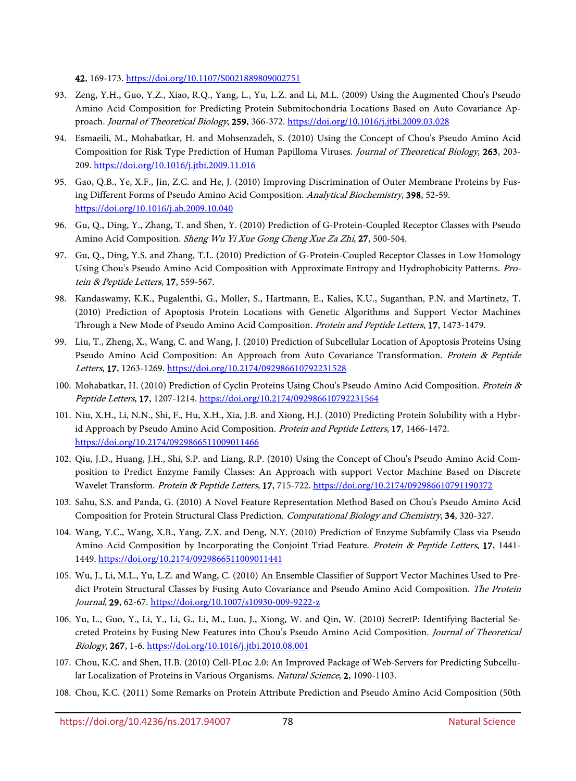42, 169-173[. https://doi.org/10.1107/S0021889809002751](https://doi.org/10.1107/S0021889809002751)

- 93. Zeng, Y.H., Guo, Y.Z., Xiao, R.Q., Yang, L., Yu, L.Z. and Li, M.L. (2009) Using the Augmented Chou's Pseudo Amino Acid Composition for Predicting Protein Submitochondria Locations Based on Auto Covariance Approach. Journal of Theoretical Biology, 259, 366-372.<https://doi.org/10.1016/j.jtbi.2009.03.028>
- 94. Esmaeili, M., Mohabatkar, H. and Mohsenzadeh, S. (2010) Using the Concept of Chou's Pseudo Amino Acid Composition for Risk Type Prediction of Human Papilloma Viruses. Journal of Theoretical Biology, 263, 203- 209.<https://doi.org/10.1016/j.jtbi.2009.11.016>
- 95. Gao, Q.B., Ye, X.F., Jin, Z.C. and He, J. (2010) Improving Discrimination of Outer Membrane Proteins by Fusing Different Forms of Pseudo Amino Acid Composition. Analytical Biochemistry, 398, 52-59. <https://doi.org/10.1016/j.ab.2009.10.040>
- 96. Gu, Q., Ding, Y., Zhang, T. and Shen, Y. (2010) Prediction of G-Protein-Coupled Receptor Classes with Pseudo Amino Acid Composition. Sheng Wu Yi Xue Gong Cheng Xue Za Zhi, 27, 500-504.
- 97. Gu, Q., Ding, Y.S. and Zhang, T.L. (2010) Prediction of G-Protein-Coupled Receptor Classes in Low Homology Using Chou's Pseudo Amino Acid Composition with Approximate Entropy and Hydrophobicity Patterns. Protein & Peptide Letters, 17, 559-567.
- 98. Kandaswamy, K.K., Pugalenthi, G., Moller, S., Hartmann, E., Kalies, K.U., Suganthan, P.N. and Martinetz, T. (2010) Prediction of Apoptosis Protein Locations with Genetic Algorithms and Support Vector Machines Through a New Mode of Pseudo Amino Acid Composition. Protein and Peptide Letters, 17, 1473-1479.
- 99. Liu, T., Zheng, X., Wang, C. and Wang, J. (2010) Prediction of Subcellular Location of Apoptosis Proteins Using Pseudo Amino Acid Composition: An Approach from Auto Covariance Transformation. Protein & Peptide Letters, 17, 1263-1269.<https://doi.org/10.2174/092986610792231528>
- 100. Mohabatkar, H. (2010) Prediction of Cyclin Proteins Using Chou's Pseudo Amino Acid Composition. Protein & Peptide Letters, 17, 1207-1214.<https://doi.org/10.2174/092986610792231564>
- 101. Niu, X.H., Li, N.N., Shi, F., Hu, X.H., Xia, J.B. and Xiong, H.J. (2010) Predicting Protein Solubility with a Hybrid Approach by Pseudo Amino Acid Composition. Protein and Peptide Letters, 17, 1466-1472. <https://doi.org/10.2174/0929866511009011466>
- 102. Qiu, J.D., Huang, J.H., Shi, S.P. and Liang, R.P. (2010) Using the Concept of Chou's Pseudo Amino Acid Composition to Predict Enzyme Family Classes: An Approach with support Vector Machine Based on Discrete Wavelet Transform. Protein & Peptide Letters, 17, 715-722.<https://doi.org/10.2174/092986610791190372>
- 103. Sahu, S.S. and Panda, G. (2010) A Novel Feature Representation Method Based on Chou's Pseudo Amino Acid Composition for Protein Structural Class Prediction. Computational Biology and Chemistry, 34, 320-327.
- 104. Wang, Y.C., Wang, X.B., Yang, Z.X. and Deng, N.Y. (2010) Prediction of Enzyme Subfamily Class via Pseudo Amino Acid Composition by Incorporating the Conjoint Triad Feature. Protein & Peptide Letters, 17, 1441-1449.<https://doi.org/10.2174/0929866511009011441>
- 105. Wu, J., Li, M.L., Yu, L.Z. and Wang, C. (2010) An Ensemble Classifier of Support Vector Machines Used to Predict Protein Structural Classes by Fusing Auto Covariance and Pseudo Amino Acid Composition. The Protein Journal, 29, 62-67.<https://doi.org/10.1007/s10930-009-9222-z>
- 106. Yu, L., Guo, Y., Li, Y., Li, G., Li, M., Luo, J., Xiong, W. and Qin, W. (2010) SecretP: Identifying Bacterial Secreted Proteins by Fusing New Features into Chou's Pseudo Amino Acid Composition. Journal of Theoretical Biology, 267, 1-6.<https://doi.org/10.1016/j.jtbi.2010.08.001>
- 107. Chou, K.C. and Shen, H.B. (2010) Cell-PLoc 2.0: An Improved Package of Web-Servers for Predicting Subcellular Localization of Proteins in Various Organisms. Natural Science, 2, 1090-1103.
- <span id="page-11-0"></span>108. Chou, K.C. (2011) Some Remarks on Protein Attribute Prediction and Pseudo Amino Acid Composition (50th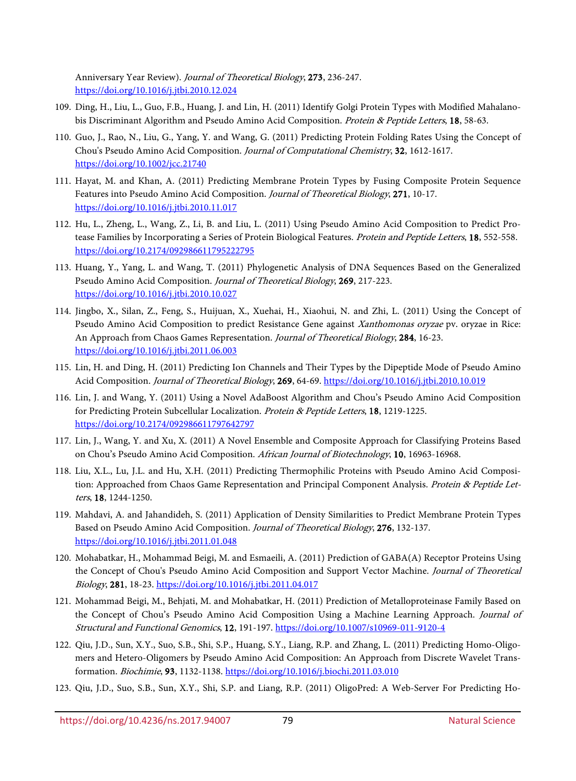Anniversary Year Review). Journal of Theoretical Biology, 273, 236-247. <https://doi.org/10.1016/j.jtbi.2010.12.024>

- 109. Ding, H., Liu, L., Guo, F.B., Huang, J. and Lin, H. (2011) Identify Golgi Protein Types with Modified Mahalanobis Discriminant Algorithm and Pseudo Amino Acid Composition. Protein & Peptide Letters, 18, 58-63.
- 110. Guo, J., Rao, N., Liu, G., Yang, Y. and Wang, G. (2011) Predicting Protein Folding Rates Using the Concept of Chou's Pseudo Amino Acid Composition. Journal of Computational Chemistry, 32, 1612-1617. <https://doi.org/10.1002/jcc.21740>
- 111. Hayat, M. and Khan, A. (2011) Predicting Membrane Protein Types by Fusing Composite Protein Sequence Features into Pseudo Amino Acid Composition. Journal of Theoretical Biology, 271, 10-17. <https://doi.org/10.1016/j.jtbi.2010.11.017>
- 112. Hu, L., Zheng, L., Wang, Z., Li, B. and Liu, L. (2011) Using Pseudo Amino Acid Composition to Predict Protease Families by Incorporating a Series of Protein Biological Features. Protein and Peptide Letters, 18, 552-558. <https://doi.org/10.2174/092986611795222795>
- 113. Huang, Y., Yang, L. and Wang, T. (2011) Phylogenetic Analysis of DNA Sequences Based on the Generalized Pseudo Amino Acid Composition. Journal of Theoretical Biology, 269, 217-223. <https://doi.org/10.1016/j.jtbi.2010.10.027>
- 114. Jingbo, X., Silan, Z., Feng, S., Huijuan, X., Xuehai, H., Xiaohui, N. and Zhi, L. (2011) Using the Concept of Pseudo Amino Acid Composition to predict Resistance Gene against Xanthomonas oryzae pv. oryzae in Rice: An Approach from Chaos Games Representation. Journal of Theoretical Biology, 284, 16-23. <https://doi.org/10.1016/j.jtbi.2011.06.003>
- 115. Lin, H. and Ding, H. (2011) Predicting Ion Channels and Their Types by the Dipeptide Mode of Pseudo Amino Acid Composition. Journal of Theoretical Biology, 269, 64-69.<https://doi.org/10.1016/j.jtbi.2010.10.019>
- 116. Lin, J. and Wang, Y. (2011) Using a Novel AdaBoost Algorithm and Chou's Pseudo Amino Acid Composition for Predicting Protein Subcellular Localization. Protein & Peptide Letters, 18, 1219-1225. <https://doi.org/10.2174/092986611797642797>
- 117. Lin, J., Wang, Y. and Xu, X. (2011) A Novel Ensemble and Composite Approach for Classifying Proteins Based on Chou's Pseudo Amino Acid Composition. African Journal of Biotechnology, 10, 16963-16968.
- 118. Liu, X.L., Lu, J.L. and Hu, X.H. (2011) Predicting Thermophilic Proteins with Pseudo Amino Acid Composition: Approached from Chaos Game Representation and Principal Component Analysis. Protein & Peptide Letters, 18, 1244-1250.
- 119. Mahdavi, A. and Jahandideh, S. (2011) Application of Density Similarities to Predict Membrane Protein Types Based on Pseudo Amino Acid Composition. Journal of Theoretical Biology, 276, 132-137. <https://doi.org/10.1016/j.jtbi.2011.01.048>
- 120. Mohabatkar, H., Mohammad Beigi, M. and Esmaeili, A. (2011) Prediction of GABA(A) Receptor Proteins Using the Concept of Chou's Pseudo Amino Acid Composition and Support Vector Machine. Journal of Theoretical Biology, 281, 18-23.<https://doi.org/10.1016/j.jtbi.2011.04.017>
- 121. Mohammad Beigi, M., Behjati, M. and Mohabatkar, H. (2011) Prediction of Metalloproteinase Family Based on the Concept of Chou's Pseudo Amino Acid Composition Using a Machine Learning Approach. Journal of Structural and Functional Genomics, 12, 191-197[. https://doi.org/10.1007/s10969-011-9120-4](https://doi.org/10.1007/s10969-011-9120-4)
- 122. Qiu, J.D., Sun, X.Y., Suo, S.B., Shi, S.P., Huang, S.Y., Liang, R.P. and Zhang, L. (2011) Predicting Homo-Oligomers and Hetero-Oligomers by Pseudo Amino Acid Composition: An Approach from Discrete Wavelet Transformation. Biochimie, 93, 1132-1138.<https://doi.org/10.1016/j.biochi.2011.03.010>
- 123. Qiu, J.D., Suo, S.B., Sun, X.Y., Shi, S.P. and Liang, R.P. (2011) OligoPred: A Web-Server For Predicting Ho-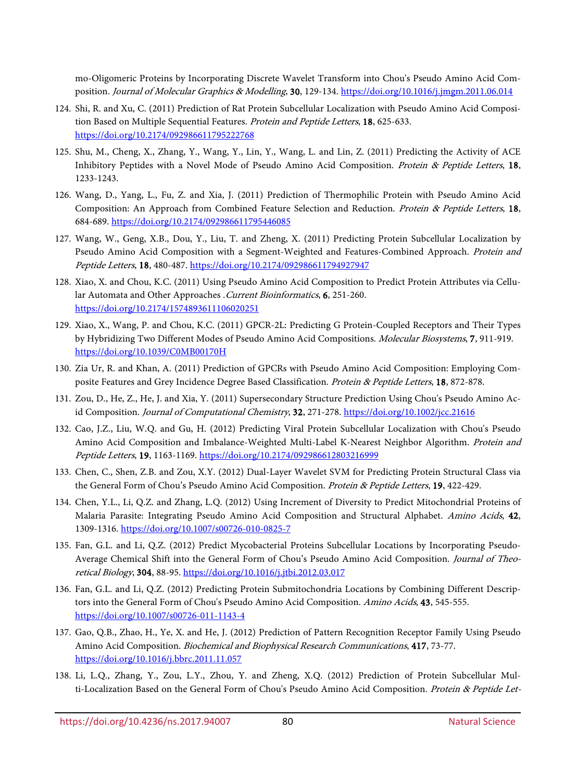mo-Oligomeric Proteins by Incorporating Discrete Wavelet Transform into Chou's Pseudo Amino Acid Composition. Journal of Molecular Graphics & Modelling, 30, 129-134[. https://doi.org/10.1016/j.jmgm.2011.06.014](https://doi.org/10.1016/j.jmgm.2011.06.014)

- 124. Shi, R. and Xu, C. (2011) Prediction of Rat Protein Subcellular Localization with Pseudo Amino Acid Composition Based on Multiple Sequential Features. Protein and Peptide Letters, 18, 625-633. <https://doi.org/10.2174/092986611795222768>
- 125. Shu, M., Cheng, X., Zhang, Y., Wang, Y., Lin, Y., Wang, L. and Lin, Z. (2011) Predicting the Activity of ACE Inhibitory Peptides with a Novel Mode of Pseudo Amino Acid Composition. Protein & Peptide Letters, 18, 1233-1243.
- 126. Wang, D., Yang, L., Fu, Z. and Xia, J. (2011) Prediction of Thermophilic Protein with Pseudo Amino Acid Composition: An Approach from Combined Feature Selection and Reduction. Protein & Peptide Letters, 18, 684-689.<https://doi.org/10.2174/092986611795446085>
- 127. Wang, W., Geng, X.B., Dou, Y., Liu, T. and Zheng, X. (2011) Predicting Protein Subcellular Localization by Pseudo Amino Acid Composition with a Segment-Weighted and Features-Combined Approach. Protein and Peptide Letters, 18, 480-487[. https://doi.org/10.2174/092986611794927947](https://doi.org/10.2174/092986611794927947)
- 128. Xiao, X. and Chou, K.C. (2011) Using Pseudo Amino Acid Composition to Predict Protein Attributes via Cellular Automata and Other Approaches .Current Bioinformatics, 6, 251-260. <https://doi.org/10.2174/1574893611106020251>
- 129. Xiao, X., Wang, P. and Chou, K.C. (2011) GPCR-2L: Predicting G Protein-Coupled Receptors and Their Types by Hybridizing Two Different Modes of Pseudo Amino Acid Compositions. Molecular Biosystems, 7, 911-919. <https://doi.org/10.1039/C0MB00170H>
- 130. Zia Ur, R. and Khan, A. (2011) Prediction of GPCRs with Pseudo Amino Acid Composition: Employing Composite Features and Grey Incidence Degree Based Classification. Protein & Peptide Letters, 18, 872-878.
- 131. Zou, D., He, Z., He, J. and Xia, Y. (2011) Supersecondary Structure Prediction Using Chou's Pseudo Amino Ac-id Composition. Journal of Computational Chemistry, 32, 271-278[. https://doi.org/10.1002/jcc.21616](https://doi.org/10.1002/jcc.21616)
- 132. Cao, J.Z., Liu, W.Q. and Gu, H. (2012) Predicting Viral Protein Subcellular Localization with Chou's Pseudo Amino Acid Composition and Imbalance-Weighted Multi-Label K-Nearest Neighbor Algorithm. Protein and Peptide Letters, 19, 1163-1169.<https://doi.org/10.2174/092986612803216999>
- 133. Chen, C., Shen, Z.B. and Zou, X.Y. (2012) Dual-Layer Wavelet SVM for Predicting Protein Structural Class via the General Form of Chou's Pseudo Amino Acid Composition. Protein & Peptide Letters, 19, 422-429.
- 134. Chen, Y.L., Li, Q.Z. and Zhang, L.Q. (2012) Using Increment of Diversity to Predict Mitochondrial Proteins of Malaria Parasite: Integrating Pseudo Amino Acid Composition and Structural Alphabet. Amino Acids, 42, 1309-1316.<https://doi.org/10.1007/s00726-010-0825-7>
- 135. Fan, G.L. and Li, Q.Z. (2012) Predict Mycobacterial Proteins Subcellular Locations by Incorporating Pseudo-Average Chemical Shift into the General Form of Chou's Pseudo Amino Acid Composition. Journal of Theoretical Biology, 304, 88-95[. https://doi.org/10.1016/j.jtbi.2012.03.017](https://doi.org/10.1016/j.jtbi.2012.03.017)
- 136. Fan, G.L. and Li, Q.Z. (2012) Predicting Protein Submitochondria Locations by Combining Different Descriptors into the General Form of Chou's Pseudo Amino Acid Composition. Amino Acids, 43, 545-555. <https://doi.org/10.1007/s00726-011-1143-4>
- 137. Gao, Q.B., Zhao, H., Ye, X. and He, J. (2012) Prediction of Pattern Recognition Receptor Family Using Pseudo Amino Acid Composition. Biochemical and Biophysical Research Communications, 417, 73-77. <https://doi.org/10.1016/j.bbrc.2011.11.057>
- 138. Li, L.Q., Zhang, Y., Zou, L.Y., Zhou, Y. and Zheng, X.Q. (2012) Prediction of Protein Subcellular Multi-Localization Based on the General Form of Chou's Pseudo Amino Acid Composition. Protein & Peptide Let-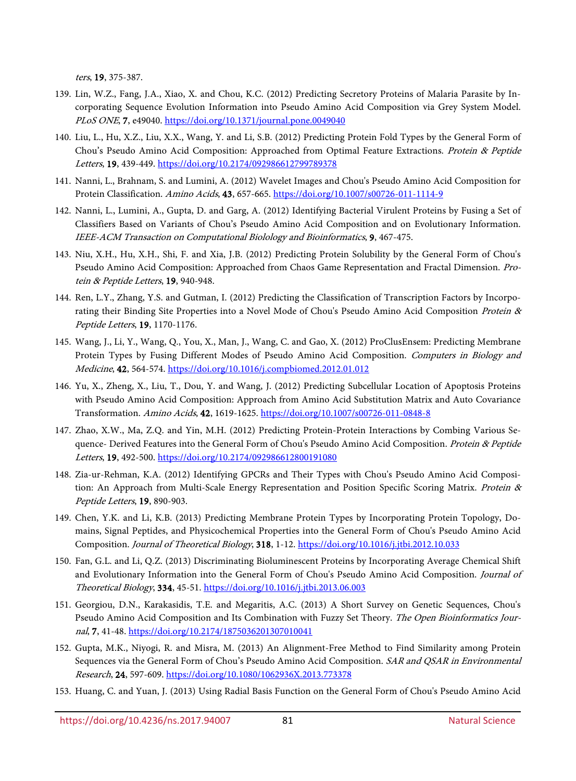ters, 19, 375-387.

- 139. Lin, W.Z., Fang, J.A., Xiao, X. and Chou, K.C. (2012) Predicting Secretory Proteins of Malaria Parasite by Incorporating Sequence Evolution Information into Pseudo Amino Acid Composition via Grey System Model. PLoS ONE, 7, e49040.<https://doi.org/10.1371/journal.pone.0049040>
- 140. Liu, L., Hu, X.Z., Liu, X.X., Wang, Y. and Li, S.B. (2012) Predicting Protein Fold Types by the General Form of Chou's Pseudo Amino Acid Composition: Approached from Optimal Feature Extractions. Protein & Peptide Letters, 19, 439-449.<https://doi.org/10.2174/092986612799789378>
- 141. Nanni, L., Brahnam, S. and Lumini, A. (2012) Wavelet Images and Chou's Pseudo Amino Acid Composition for Protein Classification. Amino Acids, 43, 657-665[. https://doi.org/10.1007/s00726-011-1114-9](https://doi.org/10.1007/s00726-011-1114-9)
- 142. Nanni, L., Lumini, A., Gupta, D. and Garg, A. (2012) Identifying Bacterial Virulent Proteins by Fusing a Set of Classifiers Based on Variants of Chou's Pseudo Amino Acid Composition and on Evolutionary Information. IEEE-ACM Transaction on Computational Biolology and Bioinformatics, 9, 467-475.
- 143. Niu, X.H., Hu, X.H., Shi, F. and Xia, J.B. (2012) Predicting Protein Solubility by the General Form of Chou's Pseudo Amino Acid Composition: Approached from Chaos Game Representation and Fractal Dimension. Protein & Peptide Letters, 19, 940-948.
- 144. Ren, L.Y., Zhang, Y.S. and Gutman, I. (2012) Predicting the Classification of Transcription Factors by Incorporating their Binding Site Properties into a Novel Mode of Chou's Pseudo Amino Acid Composition Protein & Peptide Letters, 19, 1170-1176.
- 145. Wang, J., Li, Y., Wang, Q., You, X., Man, J., Wang, C. and Gao, X. (2012) ProClusEnsem: Predicting Membrane Protein Types by Fusing Different Modes of Pseudo Amino Acid Composition. Computers in Biology and Medicine, 42, 564-574[. https://doi.org/10.1016/j.compbiomed.2012.01.012](https://doi.org/10.1016/j.compbiomed.2012.01.012)
- 146. Yu, X., Zheng, X., Liu, T., Dou, Y. and Wang, J. (2012) Predicting Subcellular Location of Apoptosis Proteins with Pseudo Amino Acid Composition: Approach from Amino Acid Substitution Matrix and Auto Covariance Transformation. Amino Acids, 42, 1619-1625[. https://doi.org/10.1007/s00726-011-0848-8](https://doi.org/10.1007/s00726-011-0848-8)
- 147. Zhao, X.W., Ma, Z.Q. and Yin, M.H. (2012) Predicting Protein-Protein Interactions by Combing Various Sequence- Derived Features into the General Form of Chou's Pseudo Amino Acid Composition. Protein & Peptide Letters, 19, 492-500.<https://doi.org/10.2174/092986612800191080>
- 148. Zia-ur-Rehman, K.A. (2012) Identifying GPCRs and Their Types with Chou's Pseudo Amino Acid Composition: An Approach from Multi-Scale Energy Representation and Position Specific Scoring Matrix. Protein & Peptide Letters, 19, 890-903.
- 149. Chen, Y.K. and Li, K.B. (2013) Predicting Membrane Protein Types by Incorporating Protein Topology, Domains, Signal Peptides, and Physicochemical Properties into the General Form of Chou's Pseudo Amino Acid Composition. Journal of Theoretical Biology, 318, 1-12.<https://doi.org/10.1016/j.jtbi.2012.10.033>
- 150. Fan, G.L. and Li, Q.Z. (2013) Discriminating Bioluminescent Proteins by Incorporating Average Chemical Shift and Evolutionary Information into the General Form of Chou's Pseudo Amino Acid Composition. Journal of Theoretical Biology, 334, 45-51.<https://doi.org/10.1016/j.jtbi.2013.06.003>
- 151. Georgiou, D.N., Karakasidis, T.E. and Megaritis, A.C. (2013) A Short Survey on Genetic Sequences, Chou's Pseudo Amino Acid Composition and Its Combination with Fuzzy Set Theory. The Open Bioinformatics Journal, 7, 41-48.<https://doi.org/10.2174/1875036201307010041>
- 152. Gupta, M.K., Niyogi, R. and Misra, M. (2013) An Alignment-Free Method to Find Similarity among Protein Sequences via the General Form of Chou's Pseudo Amino Acid Composition. SAR and QSAR in Environmental Research, 24, 597-609.<https://doi.org/10.1080/1062936X.2013.773378>
- 153. Huang, C. and Yuan, J. (2013) Using Radial Basis Function on the General Form of Chou's Pseudo Amino Acid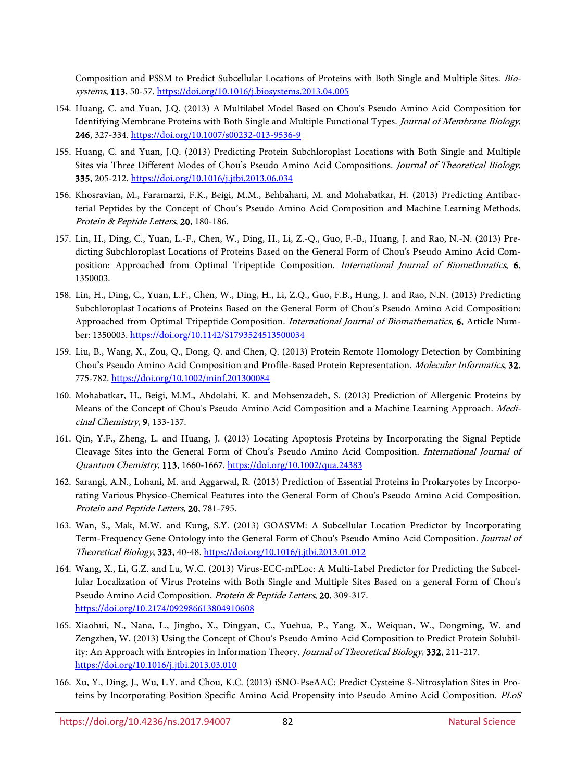Composition and PSSM to Predict Subcellular Locations of Proteins with Both Single and Multiple Sites. Biosystems, 113, 50-57.<https://doi.org/10.1016/j.biosystems.2013.04.005>

- 154. Huang, C. and Yuan, J.Q. (2013) A Multilabel Model Based on Chou's Pseudo Amino Acid Composition for Identifying Membrane Proteins with Both Single and Multiple Functional Types. Journal of Membrane Biology, 246, 327-334[. https://doi.org/10.1007/s00232-013-9536-9](https://doi.org/10.1007/s00232-013-9536-9)
- 155. Huang, C. and Yuan, J.Q. (2013) Predicting Protein Subchloroplast Locations with Both Single and Multiple Sites via Three Different Modes of Chou's Pseudo Amino Acid Compositions. Journal of Theoretical Biology, 335, 205-212[. https://doi.org/10.1016/j.jtbi.2013.06.034](https://doi.org/10.1016/j.jtbi.2013.06.034)
- 156. Khosravian, M., Faramarzi, F.K., Beigi, M.M., Behbahani, M. and Mohabatkar, H. (2013) Predicting Antibacterial Peptides by the Concept of Chou's Pseudo Amino Acid Composition and Machine Learning Methods. Protein & Peptide Letters, 20, 180-186.
- 157. Lin, H., Ding, C., Yuan, L.-F., Chen, W., Ding, H., Li, Z.-Q., Guo, F.-B., Huang, J. and Rao, N.-N. (2013) Predicting Subchloroplast Locations of Proteins Based on the General Form of Chou's Pseudo Amino Acid Composition: Approached from Optimal Tripeptide Composition. International Journal of Biomethmatics, 6, 1350003.
- 158. Lin, H., Ding, C., Yuan, L.F., Chen, W., Ding, H., Li, Z.Q., Guo, F.B., Hung, J. and Rao, N.N. (2013) Predicting Subchloroplast Locations of Proteins Based on the General Form of Chou's Pseudo Amino Acid Composition: Approached from Optimal Tripeptide Composition. International Journal of Biomathematics, 6, Article Number: 1350003[. https://doi.org/10.1142/S1793524513500034](https://doi.org/10.1142/S1793524513500034)
- 159. Liu, B., Wang, X., Zou, Q., Dong, Q. and Chen, Q. (2013) Protein Remote Homology Detection by Combining Chou's Pseudo Amino Acid Composition and Profile-Based Protein Representation. Molecular Informatics, 32, 775-782.<https://doi.org/10.1002/minf.201300084>
- 160. Mohabatkar, H., Beigi, M.M., Abdolahi, K. and Mohsenzadeh, S. (2013) Prediction of Allergenic Proteins by Means of the Concept of Chou's Pseudo Amino Acid Composition and a Machine Learning Approach. Medicinal Chemistry, 9, 133-137.
- 161. Qin, Y.F., Zheng, L. and Huang, J. (2013) Locating Apoptosis Proteins by Incorporating the Signal Peptide Cleavage Sites into the General Form of Chou's Pseudo Amino Acid Composition. International Journal of Quantum Chemistry, 113, 1660-1667.<https://doi.org/10.1002/qua.24383>
- 162. Sarangi, A.N., Lohani, M. and Aggarwal, R. (2013) Prediction of Essential Proteins in Prokaryotes by Incorporating Various Physico-Chemical Features into the General Form of Chou's Pseudo Amino Acid Composition. Protein and Peptide Letters, 20, 781-795.
- 163. Wan, S., Mak, M.W. and Kung, S.Y. (2013) GOASVM: A Subcellular Location Predictor by Incorporating Term-Frequency Gene Ontology into the General Form of Chou's Pseudo Amino Acid Composition. Journal of Theoretical Biology, 323, 40-48.<https://doi.org/10.1016/j.jtbi.2013.01.012>
- 164. Wang, X., Li, G.Z. and Lu, W.C. (2013) Virus-ECC-mPLoc: A Multi-Label Predictor for Predicting the Subcellular Localization of Virus Proteins with Both Single and Multiple Sites Based on a general Form of Chou's Pseudo Amino Acid Composition. Protein & Peptide Letters, 20, 309-317. <https://doi.org/10.2174/092986613804910608>
- 165. Xiaohui, N., Nana, L., Jingbo, X., Dingyan, C., Yuehua, P., Yang, X., Weiquan, W., Dongming, W. and Zengzhen, W. (2013) Using the Concept of Chou's Pseudo Amino Acid Composition to Predict Protein Solubility: An Approach with Entropies in Information Theory. Journal of Theoretical Biology, 332, 211-217. <https://doi.org/10.1016/j.jtbi.2013.03.010>
- 166. Xu, Y., Ding, J., Wu, L.Y. and Chou, K.C. (2013) iSNO-PseAAC: Predict Cysteine S-Nitrosylation Sites in Proteins by Incorporating Position Specific Amino Acid Propensity into Pseudo Amino Acid Composition. PLoS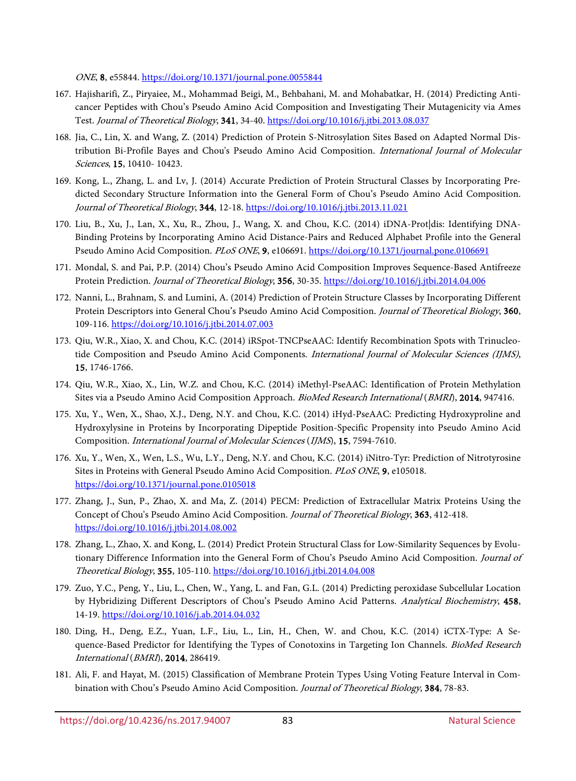ONE, 8, e55844.<https://doi.org/10.1371/journal.pone.0055844>

- 167. Hajisharifi, Z., Piryaiee, M., Mohammad Beigi, M., Behbahani, M. and Mohabatkar, H. (2014) Predicting Anticancer Peptides with Chou's Pseudo Amino Acid Composition and Investigating Their Mutagenicity via Ames Test. Journal of Theoretical Biology, 341, 34-40[. https://doi.org/10.1016/j.jtbi.2013.08.037](https://doi.org/10.1016/j.jtbi.2013.08.037)
- 168. Jia, C., Lin, X. and Wang, Z. (2014) Prediction of Protein S-Nitrosylation Sites Based on Adapted Normal Distribution Bi-Profile Bayes and Chou's Pseudo Amino Acid Composition. International Journal of Molecular Sciences, 15, 10410- 10423.
- 169. Kong, L., Zhang, L. and Lv, J. (2014) Accurate Prediction of Protein Structural Classes by Incorporating Predicted Secondary Structure Information into the General Form of Chou's Pseudo Amino Acid Composition. Journal of Theoretical Biology, 344, 12-18.<https://doi.org/10.1016/j.jtbi.2013.11.021>
- <span id="page-16-0"></span>170. Liu, B., Xu, J., Lan, X., Xu, R., Zhou, J., Wang, X. and Chou, K.C. (2014) iDNA-Prot|dis: Identifying DNA-Binding Proteins by Incorporating Amino Acid Distance-Pairs and Reduced Alphabet Profile into the General Pseudo Amino Acid Composition. PLoS ONE, 9, e106691.<https://doi.org/10.1371/journal.pone.0106691>
- 171. Mondal, S. and Pai, P.P. (2014) Chou's Pseudo Amino Acid Composition Improves Sequence-Based Antifreeze Protein Prediction. Journal of Theoretical Biology, 356, 30-35.<https://doi.org/10.1016/j.jtbi.2014.04.006>
- 172. Nanni, L., Brahnam, S. and Lumini, A. (2014) Prediction of Protein Structure Classes by Incorporating Different Protein Descriptors into General Chou's Pseudo Amino Acid Composition. Journal of Theoretical Biology, 360, 109-116.<https://doi.org/10.1016/j.jtbi.2014.07.003>
- 173. Qiu, W.R., Xiao, X. and Chou, K.C. (2014) iRSpot-TNCPseAAC: Identify Recombination Spots with Trinucleotide Composition and Pseudo Amino Acid Components. International Journal of Molecular Sciences (IJMS), 15, 1746-1766.
- 174. Qiu, W.R., Xiao, X., Lin, W.Z. and Chou, K.C. (2014) iMethyl-PseAAC: Identification of Protein Methylation Sites via a Pseudo Amino Acid Composition Approach. BioMed Research International (BMRI), 2014, 947416.
- 175. Xu, Y., Wen, X., Shao, X.J., Deng, N.Y. and Chou, K.C. (2014) iHyd-PseAAC: Predicting Hydroxyproline and Hydroxylysine in Proteins by Incorporating Dipeptide Position-Specific Propensity into Pseudo Amino Acid Composition. International Journal of Molecular Sciences (IJMS), 15, 7594-7610.
- 176. Xu, Y., Wen, X., Wen, L.S., Wu, L.Y., Deng, N.Y. and Chou, K.C. (2014) iNitro-Tyr: Prediction of Nitrotyrosine Sites in Proteins with General Pseudo Amino Acid Composition. PLoS ONE, 9, e105018. <https://doi.org/10.1371/journal.pone.0105018>
- 177. Zhang, J., Sun, P., Zhao, X. and Ma, Z. (2014) PECM: Prediction of Extracellular Matrix Proteins Using the Concept of Chou's Pseudo Amino Acid Composition. Journal of Theoretical Biology, 363, 412-418. <https://doi.org/10.1016/j.jtbi.2014.08.002>
- 178. Zhang, L., Zhao, X. and Kong, L. (2014) Predict Protein Structural Class for Low-Similarity Sequences by Evolutionary Difference Information into the General Form of Chou's Pseudo Amino Acid Composition. Journal of Theoretical Biology, 355, 105-110[. https://doi.org/10.1016/j.jtbi.2014.04.008](https://doi.org/10.1016/j.jtbi.2014.04.008)
- 179. Zuo, Y.C., Peng, Y., Liu, L., Chen, W., Yang, L. and Fan, G.L. (2014) Predicting peroxidase Subcellular Location by Hybridizing Different Descriptors of Chou's Pseudo Amino Acid Patterns. Analytical Biochemistry, 458, 14-19[. https://doi.org/10.1016/j.ab.2014.04.032](https://doi.org/10.1016/j.ab.2014.04.032)
- 180. Ding, H., Deng, E.Z., Yuan, L.F., Liu, L., Lin, H., Chen, W. and Chou, K.C. (2014) iCTX-Type: A Sequence-Based Predictor for Identifying the Types of Conotoxins in Targeting Ion Channels. BioMed Research International (BMRI), 2014, 286419.
- 181. Ali, F. and Hayat, M. (2015) Classification of Membrane Protein Types Using Voting Feature Interval in Combination with Chou's Pseudo Amino Acid Composition. Journal of Theoretical Biology, 384, 78-83.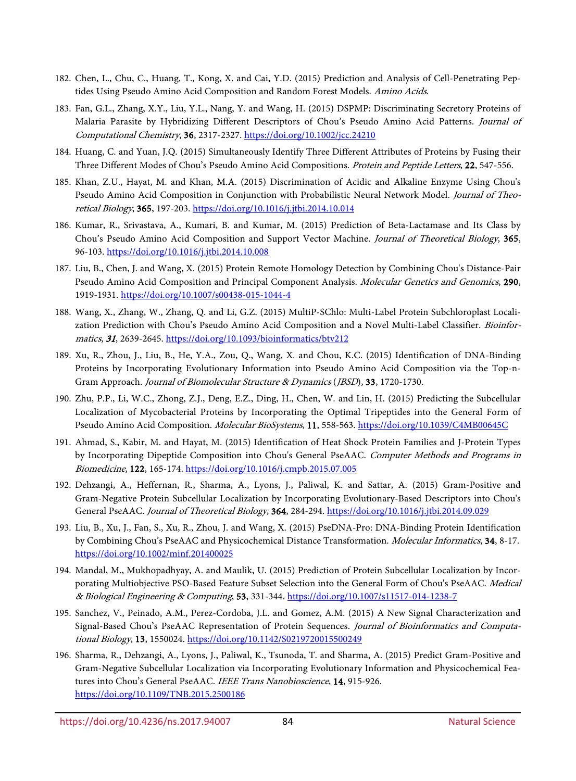- 182. Chen, L., Chu, C., Huang, T., Kong, X. and Cai, Y.D. (2015) Prediction and Analysis of Cell-Penetrating Peptides Using Pseudo Amino Acid Composition and Random Forest Models. Amino Acids.
- 183. Fan, G.L., Zhang, X.Y., Liu, Y.L., Nang, Y. and Wang, H. (2015) DSPMP: Discriminating Secretory Proteins of Malaria Parasite by Hybridizing Different Descriptors of Chou's Pseudo Amino Acid Patterns. Journal of Computational Chemistry, 36, 2317-2327[. https://doi.org/10.1002/jcc.24210](https://doi.org/10.1002/jcc.24210)
- 184. Huang, C. and Yuan, J.Q. (2015) Simultaneously Identify Three Different Attributes of Proteins by Fusing their Three Different Modes of Chou's Pseudo Amino Acid Compositions. Protein and Peptide Letters, 22, 547-556.
- 185. Khan, Z.U., Hayat, M. and Khan, M.A. (2015) Discrimination of Acidic and Alkaline Enzyme Using Chou's Pseudo Amino Acid Composition in Conjunction with Probabilistic Neural Network Model. Journal of Theoretical Biology, 365, 197-203.<https://doi.org/10.1016/j.jtbi.2014.10.014>
- 186. Kumar, R., Srivastava, A., Kumari, B. and Kumar, M. (2015) Prediction of Beta-Lactamase and Its Class by Chou's Pseudo Amino Acid Composition and Support Vector Machine. Journal of Theoretical Biology, 365, 96-103[. https://doi.org/10.1016/j.jtbi.2014.10.008](https://doi.org/10.1016/j.jtbi.2014.10.008)
- 187. Liu, B., Chen, J. and Wang, X. (2015) Protein Remote Homology Detection by Combining Chou's Distance-Pair Pseudo Amino Acid Composition and Principal Component Analysis. Molecular Genetics and Genomics, 290, 1919-1931.<https://doi.org/10.1007/s00438-015-1044-4>
- 188. Wang, X., Zhang, W., Zhang, Q. and Li, G.Z. (2015) MultiP-SChlo: Multi-Label Protein Subchloroplast Localization Prediction with Chou's Pseudo Amino Acid Composition and a Novel Multi-Label Classifier. Bioinformatics, 31, 2639-2645[. https://doi.org/10.1093/bioinformatics/btv212](https://doi.org/10.1093/bioinformatics/btv212)
- <span id="page-17-0"></span>189. Xu, R., Zhou, J., Liu, B., He, Y.A., Zou, Q., Wang, X. and Chou, K.C. (2015) Identification of DNA-Binding Proteins by Incorporating Evolutionary Information into Pseudo Amino Acid Composition via the Top-n-Gram Approach. Journal of Biomolecular Structure & Dynamics (JBSD), 33, 1720-1730.
- 190. Zhu, P.P., Li, W.C., Zhong, Z.J., Deng, E.Z., Ding, H., Chen, W. and Lin, H. (2015) Predicting the Subcellular Localization of Mycobacterial Proteins by Incorporating the Optimal Tripeptides into the General Form of Pseudo Amino Acid Composition. Molecular BioSystems, 11, 558-563.<https://doi.org/10.1039/C4MB00645C>
- 191. Ahmad, S., Kabir, M. and Hayat, M. (2015) Identification of Heat Shock Protein Families and J-Protein Types by Incorporating Dipeptide Composition into Chou's General PseAAC. Computer Methods and Programs in Biomedicine, 122, 165-174.<https://doi.org/10.1016/j.cmpb.2015.07.005>
- 192. Dehzangi, A., Heffernan, R., Sharma, A., Lyons, J., Paliwal, K. and Sattar, A. (2015) Gram-Positive and Gram-Negative Protein Subcellular Localization by Incorporating Evolutionary-Based Descriptors into Chou's General PseAAC. Journal of Theoretical Biology, 364, 284-294.<https://doi.org/10.1016/j.jtbi.2014.09.029>
- 193. Liu, B., Xu, J., Fan, S., Xu, R., Zhou, J. and Wang, X. (2015) PseDNA-Pro: DNA-Binding Protein Identification by Combining Chou's PseAAC and Physicochemical Distance Transformation. Molecular Informatics, 34, 8-17. <https://doi.org/10.1002/minf.201400025>
- 194. Mandal, M., Mukhopadhyay, A. and Maulik, U. (2015) Prediction of Protein Subcellular Localization by Incorporating Multiobjective PSO-Based Feature Subset Selection into the General Form of Chou's PseAAC. Medical & Biological Engineering & Computing, 53, 331-344.<https://doi.org/10.1007/s11517-014-1238-7>
- 195. Sanchez, V., Peinado, A.M., Perez-Cordoba, J.L. and Gomez, A.M. (2015) A New Signal Characterization and Signal-Based Chou's PseAAC Representation of Protein Sequences. Journal of Bioinformatics and Computational Biology, 13, 1550024. <https://doi.org/10.1142/S0219720015500249>
- 196. Sharma, R., Dehzangi, A., Lyons, J., Paliwal, K., Tsunoda, T. and Sharma, A. (2015) Predict Gram-Positive and Gram-Negative Subcellular Localization via Incorporating Evolutionary Information and Physicochemical Features into Chou's General PseAAC. IEEE Trans Nanobioscience, 14, 915-926. <https://doi.org/10.1109/TNB.2015.2500186>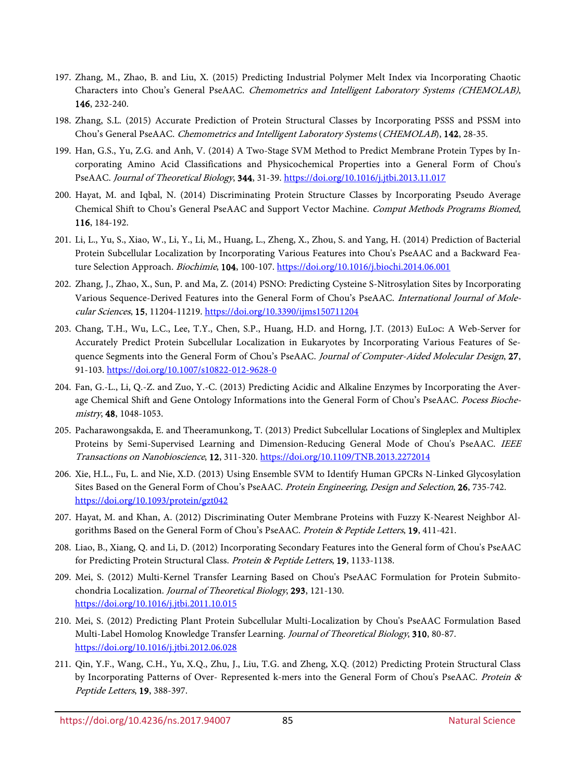- 197. Zhang, M., Zhao, B. and Liu, X. (2015) Predicting Industrial Polymer Melt Index via Incorporating Chaotic Characters into Chou's General PseAAC. Chemometrics and Intelligent Laboratory Systems (CHEMOLAB), 146, 232-240.
- 198. Zhang, S.L. (2015) Accurate Prediction of Protein Structural Classes by Incorporating PSSS and PSSM into Chou's General PseAAC. Chemometrics and Intelligent Laboratory Systems (CHEMOLAB), 142, 28-35.
- 199. Han, G.S., Yu, Z.G. and Anh, V. (2014) A Two-Stage SVM Method to Predict Membrane Protein Types by Incorporating Amino Acid Classifications and Physicochemical Properties into a General Form of Chou's PseAAC. Journal of Theoretical Biology, 344, 31-39[. https://doi.org/10.1016/j.jtbi.2013.11.017](https://doi.org/10.1016/j.jtbi.2013.11.017)
- 200. Hayat, M. and Iqbal, N. (2014) Discriminating Protein Structure Classes by Incorporating Pseudo Average Chemical Shift to Chou's General PseAAC and Support Vector Machine. Comput Methods Programs Biomed, 116, 184-192.
- 201. Li, L., Yu, S., Xiao, W., Li, Y., Li, M., Huang, L., Zheng, X., Zhou, S. and Yang, H. (2014) Prediction of Bacterial Protein Subcellular Localization by Incorporating Various Features into Chou's PseAAC and a Backward Feature Selection Approach. Biochimie, 104, 100-107[. https://doi.org/10.1016/j.biochi.2014.06.001](https://doi.org/10.1016/j.biochi.2014.06.001)
- 202. Zhang, J., Zhao, X., Sun, P. and Ma, Z. (2014) PSNO: Predicting Cysteine S-Nitrosylation Sites by Incorporating Various Sequence-Derived Features into the General Form of Chou's PseAAC. International Journal of Molecular Sciences, 15, 11204-11219.<https://doi.org/10.3390/ijms150711204>
- 203. Chang, T.H., Wu, L.C., Lee, T.Y., Chen, S.P., Huang, H.D. and Horng, J.T. (2013) EuLoc: A Web-Server for Accurately Predict Protein Subcellular Localization in Eukaryotes by Incorporating Various Features of Sequence Segments into the General Form of Chou's PseAAC. Journal of Computer-Aided Molecular Design, 27, 91-103[. https://doi.org/10.1007/s10822-012-9628-0](https://doi.org/10.1007/s10822-012-9628-0)
- 204. Fan, G.-L., Li, Q.-Z. and Zuo, Y.-C. (2013) Predicting Acidic and Alkaline Enzymes by Incorporating the Average Chemical Shift and Gene Ontology Informations into the General Form of Chou's PseAAC. Pocess Biochemistry, 48, 1048-1053.
- 205. Pacharawongsakda, E. and Theeramunkong, T. (2013) Predict Subcellular Locations of Singleplex and Multiplex Proteins by Semi-Supervised Learning and Dimension-Reducing General Mode of Chou's PseAAC. IEEE Transactions on Nanobioscience, 12, 311-320.<https://doi.org/10.1109/TNB.2013.2272014>
- 206. Xie, H.L., Fu, L. and Nie, X.D. (2013) Using Ensemble SVM to Identify Human GPCRs N-Linked Glycosylation Sites Based on the General Form of Chou's PseAAC. Protein Engineering, Design and Selection, 26, 735-742. <https://doi.org/10.1093/protein/gzt042>
- 207. Hayat, M. and Khan, A. (2012) Discriminating Outer Membrane Proteins with Fuzzy K-Nearest Neighbor Algorithms Based on the General Form of Chou's PseAAC. Protein & Peptide Letters, 19, 411-421.
- 208. Liao, B., Xiang, Q. and Li, D. (2012) Incorporating Secondary Features into the General form of Chou's PseAAC for Predicting Protein Structural Class. Protein & Peptide Letters, 19, 1133-1138.
- 209. Mei, S. (2012) Multi-Kernel Transfer Learning Based on Chou's PseAAC Formulation for Protein Submitochondria Localization. Journal of Theoretical Biology, 293, 121-130. <https://doi.org/10.1016/j.jtbi.2011.10.015>
- 210. Mei, S. (2012) Predicting Plant Protein Subcellular Multi-Localization by Chou's PseAAC Formulation Based Multi-Label Homolog Knowledge Transfer Learning. Journal of Theoretical Biology, 310, 80-87. <https://doi.org/10.1016/j.jtbi.2012.06.028>
- 211. Qin, Y.F., Wang, C.H., Yu, X.Q., Zhu, J., Liu, T.G. and Zheng, X.Q. (2012) Predicting Protein Structural Class by Incorporating Patterns of Over- Represented k-mers into the General Form of Chou's PseAAC. Protein & Peptide Letters, 19, 388-397.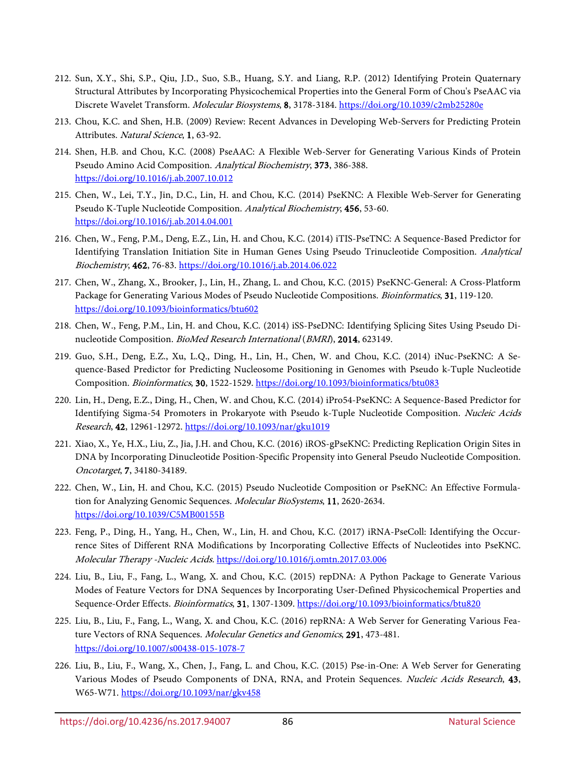- <span id="page-19-0"></span>212. Sun, X.Y., Shi, S.P., Qiu, J.D., Suo, S.B., Huang, S.Y. and Liang, R.P. (2012) Identifying Protein Quaternary Structural Attributes by Incorporating Physicochemical Properties into the General Form of Chou's PseAAC via Discrete Wavelet Transform. Molecular Biosystems, 8, 3178-3184.<https://doi.org/10.1039/c2mb25280e>
- <span id="page-19-1"></span>213. Chou, K.C. and Shen, H.B. (2009) Review: Recent Advances in Developing Web-Servers for Predicting Protein Attributes. Natural Science, 1, 63-92.
- <span id="page-19-2"></span>214. Shen, H.B. and Chou, K.C. (2008) PseAAC: A Flexible Web-Server for Generating Various Kinds of Protein Pseudo Amino Acid Composition. Analytical Biochemistry, 373, 386-388. <https://doi.org/10.1016/j.ab.2007.10.012>
- <span id="page-19-3"></span>215. Chen, W., Lei, T.Y., Jin, D.C., Lin, H. and Chou, K.C. (2014) PseKNC: A Flexible Web-Server for Generating Pseudo K-Tuple Nucleotide Composition. Analytical Biochemistry, 456, 53-60. <https://doi.org/10.1016/j.ab.2014.04.001>
- <span id="page-19-10"></span>216. Chen, W., Feng, P.M., Deng, E.Z., Lin, H. and Chou, K.C. (2014) iTIS-PseTNC: A Sequence-Based Predictor for Identifying Translation Initiation Site in Human Genes Using Pseudo Trinucleotide Composition. Analytical Biochemistry, 462, 76-83.<https://doi.org/10.1016/j.ab.2014.06.022>
- <span id="page-19-5"></span>217. Chen, W., Zhang, X., Brooker, J., Lin, H., Zhang, L. and Chou, K.C. (2015) PseKNC-General: A Cross-Platform Package for Generating Various Modes of Pseudo Nucleotide Compositions. Bioinformatics, 31, 119-120. <https://doi.org/10.1093/bioinformatics/btu602>
- <span id="page-19-11"></span>218. Chen, W., Feng, P.M., Lin, H. and Chou, K.C. (2014) iSS-PseDNC: Identifying Splicing Sites Using Pseudo Dinucleotide Composition. BioMed Research International (BMRI), 2014, 623149.
- 219. Guo, S.H., Deng, E.Z., Xu, L.Q., Ding, H., Lin, H., Chen, W. and Chou, K.C. (2014) iNuc-PseKNC: A Sequence-Based Predictor for Predicting Nucleosome Positioning in Genomes with Pseudo k-Tuple Nucleotide Composition. Bioinformatics, 30, 1522-1529[. https://doi.org/10.1093/bioinformatics/btu083](https://doi.org/10.1093/bioinformatics/btu083)
- <span id="page-19-12"></span>220. Lin, H., Deng, E.Z., Ding, H., Chen, W. and Chou, K.C. (2014) iPro54-PseKNC: A Sequence-Based Predictor for Identifying Sigma-54 Promoters in Prokaryote with Pseudo k-Tuple Nucleotide Composition. Nucleic Acids Research, 42, 12961-12972.<https://doi.org/10.1093/nar/gku1019>
- <span id="page-19-9"></span>221. Xiao, X., Ye, H.X., Liu, Z., Jia, J.H. and Chou, K.C. (2016) iROS-gPseKNC: Predicting Replication Origin Sites in DNA by Incorporating Dinucleotide Position-Specific Propensity into General Pseudo Nucleotide Composition. Oncotarget, 7, 34180-34189.
- 222. Chen, W., Lin, H. and Chou, K.C. (2015) Pseudo Nucleotide Composition or PseKNC: An Effective Formulation for Analyzing Genomic Sequences. Molecular BioSystems, 11, 2620-2634. <https://doi.org/10.1039/C5MB00155B>
- <span id="page-19-4"></span>223. Feng, P., Ding, H., Yang, H., Chen, W., Lin, H. and Chou, K.C. (2017) iRNA-PseColl: Identifying the Occurrence Sites of Different RNA Modifications by Incorporating Collective Effects of Nucleotides into PseKNC. Molecular Therapy -Nucleic Acids. <https://doi.org/10.1016/j.omtn.2017.03.006>
- <span id="page-19-6"></span>224. Liu, B., Liu, F., Fang, L., Wang, X. and Chou, K.C. (2015) repDNA: A Python Package to Generate Various Modes of Feature Vectors for DNA Sequences by Incorporating User-Defined Physicochemical Properties and Sequence-Order Effects. Bioinformatics, 31, 1307-1309[. https://doi.org/10.1093/bioinformatics/btu820](https://doi.org/10.1093/bioinformatics/btu820)
- <span id="page-19-7"></span>225. Liu, B., Liu, F., Fang, L., Wang, X. and Chou, K.C. (2016) repRNA: A Web Server for Generating Various Feature Vectors of RNA Sequences. Molecular Genetics and Genomics, 291, 473-481. <https://doi.org/10.1007/s00438-015-1078-7>
- <span id="page-19-8"></span>226. Liu, B., Liu, F., Wang, X., Chen, J., Fang, L. and Chou, K.C. (2015) Pse-in-One: A Web Server for Generating Various Modes of Pseudo Components of DNA, RNA, and Protein Sequences. Nucleic Acids Research, 43, W65-W71. <https://doi.org/10.1093/nar/gkv458>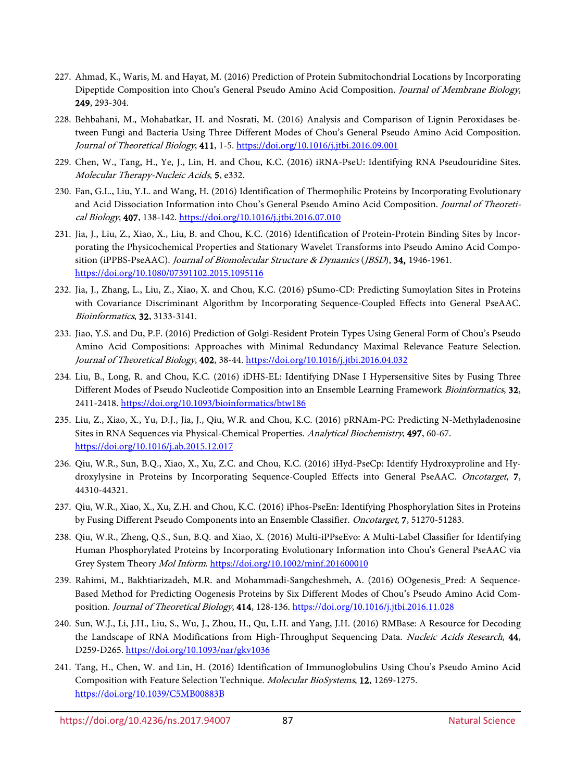- <span id="page-20-0"></span>227. Ahmad, K., Waris, M. and Hayat, M. (2016) Prediction of Protein Submitochondrial Locations by Incorporating Dipeptide Composition into Chou's General Pseudo Amino Acid Composition. Journal of Membrane Biology, 249, 293-304.
- 228. Behbahani, M., Mohabatkar, H. and Nosrati, M. (2016) Analysis and Comparison of Lignin Peroxidases between Fungi and Bacteria Using Three Different Modes of Chou's General Pseudo Amino Acid Composition. Journal of Theoretical Biology, 411, 1-5[. https://doi.org/10.1016/j.jtbi.2016.09.001](https://doi.org/10.1016/j.jtbi.2016.09.001)
- <span id="page-20-3"></span>229. Chen, W., Tang, H., Ye, J., Lin, H. and Chou, K.C. (2016) iRNA-PseU: Identifying RNA Pseudouridine Sites. Molecular Therapy-Nucleic Acids, 5, e332.
- 230. Fan, G.L., Liu, Y.L. and Wang, H. (2016) Identification of Thermophilic Proteins by Incorporating Evolutionary and Acid Dissociation Information into Chou's General Pseudo Amino Acid Composition. Journal of Theoretical Biology, 407, 138-142.<https://doi.org/10.1016/j.jtbi.2016.07.010>
- <span id="page-20-1"></span>231. Jia, J., Liu, Z., Xiao, X., Liu, B. and Chou, K.C. (2016) Identification of Protein-Protein Binding Sites by Incorporating the Physicochemical Properties and Stationary Wavelet Transforms into Pseudo Amino Acid Composition (iPPBS-PseAAC). Journal of Biomolecular Structure & Dynamics (JBSD), 34, 1946-1961. <https://doi.org/10.1080/07391102.2015.1095116>
- 232. Jia, J., Zhang, L., Liu, Z., Xiao, X. and Chou, K.C. (2016) pSumo-CD: Predicting Sumoylation Sites in Proteins with Covariance Discriminant Algorithm by Incorporating Sequence-Coupled Effects into General PseAAC. Bioinformatics, 32, 3133-3141.
- 233. Jiao, Y.S. and Du, P.F. (2016) Prediction of Golgi-Resident Protein Types Using General Form of Chou's Pseudo Amino Acid Compositions: Approaches with Minimal Redundancy Maximal Relevance Feature Selection. Journal of Theoretical Biology, 402, 38-44.<https://doi.org/10.1016/j.jtbi.2016.04.032>
- 234. Liu, B., Long, R. and Chou, K.C. (2016) iDHS-EL: Identifying DNase I Hypersensitive Sites by Fusing Three Different Modes of Pseudo Nucleotide Composition into an Ensemble Learning Framework Bioinformatics, 32, 2411-2418.<https://doi.org/10.1093/bioinformatics/btw186>
- <span id="page-20-2"></span>235. Liu, Z., Xiao, X., Yu, D.J., Jia, J., Qiu, W.R. and Chou, K.C. (2016) pRNAm-PC: Predicting N-Methyladenosine Sites in RNA Sequences via Physical-Chemical Properties. Analytical Biochemistry, 497, 60-67. <https://doi.org/10.1016/j.ab.2015.12.017>
- 236. Qiu, W.R., Sun, B.Q., Xiao, X., Xu, Z.C. and Chou, K.C. (2016) iHyd-PseCp: Identify Hydroxyproline and Hydroxylysine in Proteins by Incorporating Sequence-Coupled Effects into General PseAAC. Oncotarget, 7, 44310-44321.
- 237. Qiu, W.R., Xiao, X., Xu, Z.H. and Chou, K.C. (2016) iPhos-PseEn: Identifying Phosphorylation Sites in Proteins by Fusing Different Pseudo Components into an Ensemble Classifier. Oncotarget, 7, 51270-51283.
- 238. Qiu, W.R., Zheng, Q.S., Sun, B.Q. and Xiao, X. (2016) Multi-iPPseEvo: A Multi-Label Classifier for Identifying Human Phosphorylated Proteins by Incorporating Evolutionary Information into Chou's General PseAAC via Grey System Theory Mol Inform.<https://doi.org/10.1002/minf.201600010>
- 239. Rahimi, M., Bakhtiarizadeh, M.R. and Mohammadi-Sangcheshmeh, A. (2016) OOgenesis\_Pred: A Sequence-Based Method for Predicting Oogenesis Proteins by Six Different Modes of Chou's Pseudo Amino Acid Composition. Journal of Theoretical Biology, 414, 128-136[. https://doi.org/10.1016/j.jtbi.2016.11.028](https://doi.org/10.1016/j.jtbi.2016.11.028)
- 240. Sun, W.J., Li, J.H., Liu, S., Wu, J., Zhou, H., Qu, L.H. and Yang, J.H. (2016) RMBase: A Resource for Decoding the Landscape of RNA Modifications from High-Throughput Sequencing Data. Nucleic Acids Research, 44, D259-D265.<https://doi.org/10.1093/nar/gkv1036>
- 241. Tang, H., Chen, W. and Lin, H. (2016) Identification of Immunoglobulins Using Chou's Pseudo Amino Acid Composition with Feature Selection Technique. Molecular BioSystems, 12, 1269-1275. <https://doi.org/10.1039/C5MB00883B>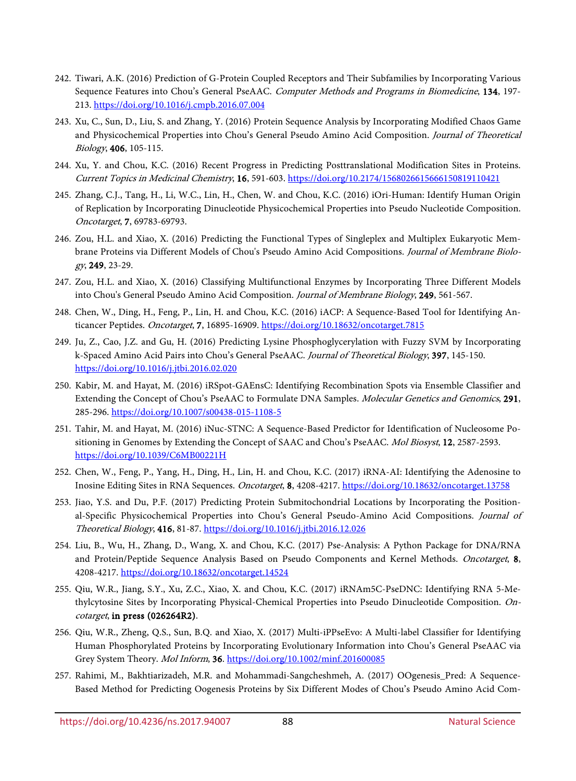- 242. Tiwari, A.K. (2016) Prediction of G-Protein Coupled Receptors and Their Subfamilies by Incorporating Various Sequence Features into Chou's General PseAAC. Computer Methods and Programs in Biomedicine, 134, 197-213.<https://doi.org/10.1016/j.cmpb.2016.07.004>
- 243. Xu, C., Sun, D., Liu, S. and Zhang, Y. (2016) Protein Sequence Analysis by Incorporating Modified Chaos Game and Physicochemical Properties into Chou's General Pseudo Amino Acid Composition. Journal of Theoretical Biology, 406, 105-115.
- 244. Xu, Y. and Chou, K.C. (2016) Recent Progress in Predicting Posttranslational Modification Sites in Proteins. Current Topics in Medicinal Chemistry, 16, 591-603[. https://doi.org/10.2174/1568026615666150819110421](https://doi.org/10.2174/1568026615666150819110421)
- 245. Zhang, C.J., Tang, H., Li, W.C., Lin, H., Chen, W. and Chou, K.C. (2016) iOri-Human: Identify Human Origin of Replication by Incorporating Dinucleotide Physicochemical Properties into Pseudo Nucleotide Composition. Oncotarget, 7, 69783-69793.
- 246. Zou, H.L. and Xiao, X. (2016) Predicting the Functional Types of Singleplex and Multiplex Eukaryotic Membrane Proteins via Different Models of Chou's Pseudo Amino Acid Compositions. Journal of Membrane Biology, 249, 23-29.
- 247. Zou, H.L. and Xiao, X. (2016) Classifying Multifunctional Enzymes by Incorporating Three Different Models into Chou's General Pseudo Amino Acid Composition. Journal of Membrane Biology, 249, 561-567.
- 248. Chen, W., Ding, H., Feng, P., Lin, H. and Chou, K.C. (2016) iACP: A Sequence-Based Tool for Identifying An-ticancer Peptides. Oncotarget, 7, 16895-16909[. https://doi.org/10.18632/oncotarget.7815](https://doi.org/10.18632/oncotarget.7815)
- 249. Ju, Z., Cao, J.Z. and Gu, H. (2016) Predicting Lysine Phosphoglycerylation with Fuzzy SVM by Incorporating k-Spaced Amino Acid Pairs into Chou's General PseAAC. Journal of Theoretical Biology, 397, 145-150. <https://doi.org/10.1016/j.jtbi.2016.02.020>
- 250. Kabir, M. and Hayat, M. (2016) iRSpot-GAEnsC: Identifying Recombination Spots via Ensemble Classifier and Extending the Concept of Chou's PseAAC to Formulate DNA Samples. Molecular Genetics and Genomics, 291, 285-296.<https://doi.org/10.1007/s00438-015-1108-5>
- 251. Tahir, M. and Hayat, M. (2016) iNuc-STNC: A Sequence-Based Predictor for Identification of Nucleosome Positioning in Genomes by Extending the Concept of SAAC and Chou's PseAAC. Mol Biosyst, 12, 2587-2593. <https://doi.org/10.1039/C6MB00221H>
- 252. Chen, W., Feng, P., Yang, H., Ding, H., Lin, H. and Chou, K.C. (2017) iRNA-AI: Identifying the Adenosine to Inosine Editing Sites in RNA Sequences. Oncotarget, 8, 4208-4217.<https://doi.org/10.18632/oncotarget.13758>
- 253. Jiao, Y.S. and Du, P.F. (2017) Predicting Protein Submitochondrial Locations by Incorporating the Positional-Specific Physicochemical Properties into Chou's General Pseudo-Amino Acid Compositions. Journal of Theoretical Biology, 416, 81-87.<https://doi.org/10.1016/j.jtbi.2016.12.026>
- <span id="page-21-1"></span>254. Liu, B., Wu, H., Zhang, D., Wang, X. and Chou, K.C. (2017) Pse-Analysis: A Python Package for DNA/RNA and Protein/Peptide Sequence Analysis Based on Pseudo Components and Kernel Methods. Oncotarget, 8, 4208-4217.<https://doi.org/10.18632/oncotarget.14524>
- <span id="page-21-0"></span>255. Qiu, W.R., Jiang, S.Y., Xu, Z.C., Xiao, X. and Chou, K.C. (2017) iRNAm5C-PseDNC: Identifying RNA 5-Methylcytosine Sites by Incorporating Physical-Chemical Properties into Pseudo Dinucleotide Composition. Oncotarget, in press (026264R2).
- 256. Qiu, W.R., Zheng, Q.S., Sun, B.Q. and Xiao, X. (2017) Multi-iPPseEvo: A Multi-label Classifier for Identifying Human Phosphorylated Proteins by Incorporating Evolutionary Information into Chou's General PseAAC via Grey System Theory. Mol Inform, 36[. https://doi.org/10.1002/minf.201600085](https://doi.org/10.1002/minf.201600085)
- 257. Rahimi, M., Bakhtiarizadeh, M.R. and Mohammadi-Sangcheshmeh, A. (2017) OOgenesis\_Pred: A Sequence-Based Method for Predicting Oogenesis Proteins by Six Different Modes of Chou's Pseudo Amino Acid Com-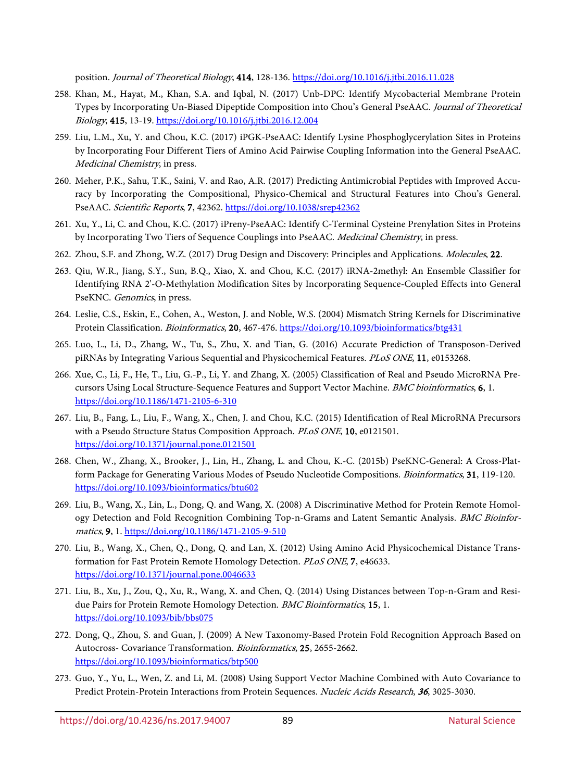position. Journal of Theoretical Biology, 414, 128-136[. https://doi.org/10.1016/j.jtbi.2016.11.028](https://doi.org/10.1016/j.jtbi.2016.11.028)

- 258. Khan, M., Hayat, M., Khan, S.A. and Iqbal, N. (2017) Unb-DPC: Identify Mycobacterial Membrane Protein Types by Incorporating Un-Biased Dipeptide Composition into Chou's General PseAAC. Journal of Theoretical Biology, 415, 13-19.<https://doi.org/10.1016/j.jtbi.2016.12.004>
- 259. Liu, L.M., Xu, Y. and Chou, K.C. (2017) iPGK-PseAAC: Identify Lysine Phosphoglycerylation Sites in Proteins by Incorporating Four Different Tiers of Amino Acid Pairwise Coupling Information into the General PseAAC. Medicinal Chemistry, in press.
- 260. Meher, P.K., Sahu, T.K., Saini, V. and Rao, A.R. (2017) Predicting Antimicrobial Peptides with Improved Accuracy by Incorporating the Compositional, Physico-Chemical and Structural Features into Chou's General. PseAAC. Scientific Reports, 7, 42362.<https://doi.org/10.1038/srep42362>
- 261. Xu, Y., Li, C. and Chou, K.C. (2017) iPreny-PseAAC: Identify C-Terminal Cysteine Prenylation Sites in Proteins by Incorporating Two Tiers of Sequence Couplings into PseAAC. Medicinal Chemistry, in press.
- 262. Zhou, S.F. and Zhong, W.Z. (2017) Drug Design and Discovery: Principles and Applications. Molecules, 22.
- <span id="page-22-0"></span>263. Qiu, W.R., Jiang, S.Y., Sun, B.Q., Xiao, X. and Chou, K.C. (2017) iRNA-2methyl: An Ensemble Classifier for Identifying RNA 2'-O-Methylation Modification Sites by Incorporating Sequence-Coupled Effects into General PseKNC. Genomics, in press.
- <span id="page-22-1"></span>264. Leslie, C.S., Eskin, E., Cohen, A., Weston, J. and Noble, W.S. (2004) Mismatch String Kernels for Discriminative Protein Classification. Bioinformatics, 20, 467-476.<https://doi.org/10.1093/bioinformatics/btg431>
- <span id="page-22-2"></span>265. Luo, L., Li, D., Zhang, W., Tu, S., Zhu, X. and Tian, G. (2016) Accurate Prediction of Transposon-Derived piRNAs by Integrating Various Sequential and Physicochemical Features. PLoS ONE, 11, e0153268.
- <span id="page-22-3"></span>266. Xue, C., Li, F., He, T., Liu, G.-P., Li, Y. and Zhang, X. (2005) Classification of Real and Pseudo MicroRNA Precursors Using Local Structure-Sequence Features and Support Vector Machine. BMC bioinformatics, 6, 1. <https://doi.org/10.1186/1471-2105-6-310>
- <span id="page-22-4"></span>267. Liu, B., Fang, L., Liu, F., Wang, X., Chen, J. and Chou, K.C. (2015) Identification of Real MicroRNA Precursors with a Pseudo Structure Status Composition Approach. PLoS ONE, 10, e0121501. <https://doi.org/10.1371/journal.pone.0121501>
- <span id="page-22-6"></span>268. Chen, W., Zhang, X., Brooker, J., Lin, H., Zhang, L. and Chou, K.-C. (2015b) PseKNC-General: A Cross-Platform Package for Generating Various Modes of Pseudo Nucleotide Compositions. Bioinformatics, 31, 119-120. <https://doi.org/10.1093/bioinformatics/btu602>
- <span id="page-22-8"></span>269. Liu, B., Wang, X., Lin, L., Dong, Q. and Wang, X. (2008) A Discriminative Method for Protein Remote Homology Detection and Fold Recognition Combining Top-n-Grams and Latent Semantic Analysis. BMC Bioinformatics, 9, 1.<https://doi.org/10.1186/1471-2105-9-510>
- <span id="page-22-5"></span>270. Liu, B., Wang, X., Chen, Q., Dong, Q. and Lan, X. (2012) Using Amino Acid Physicochemical Distance Transformation for Fast Protein Remote Homology Detection. PLoS ONE, 7, e46633. <https://doi.org/10.1371/journal.pone.0046633>
- <span id="page-22-7"></span>271. Liu, B., Xu, J., Zou, Q., Xu, R., Wang, X. and Chen, Q. (2014) Using Distances between Top-n-Gram and Residue Pairs for Protein Remote Homology Detection. BMC Bioinformatics, 15, 1. <https://doi.org/10.1093/bib/bbs075>
- <span id="page-22-9"></span>272. Dong, Q., Zhou, S. and Guan, J. (2009) A New Taxonomy-Based Protein Fold Recognition Approach Based on Autocross- Covariance Transformation. Bioinformatics, 25, 2655-2662. <https://doi.org/10.1093/bioinformatics/btp500>
- <span id="page-22-10"></span>273. Guo, Y., Yu, L., Wen, Z. and Li, M. (2008) Using Support Vector Machine Combined with Auto Covariance to Predict Protein-Protein Interactions from Protein Sequences. Nucleic Acids Research, <sup>36</sup>, 3025-3030.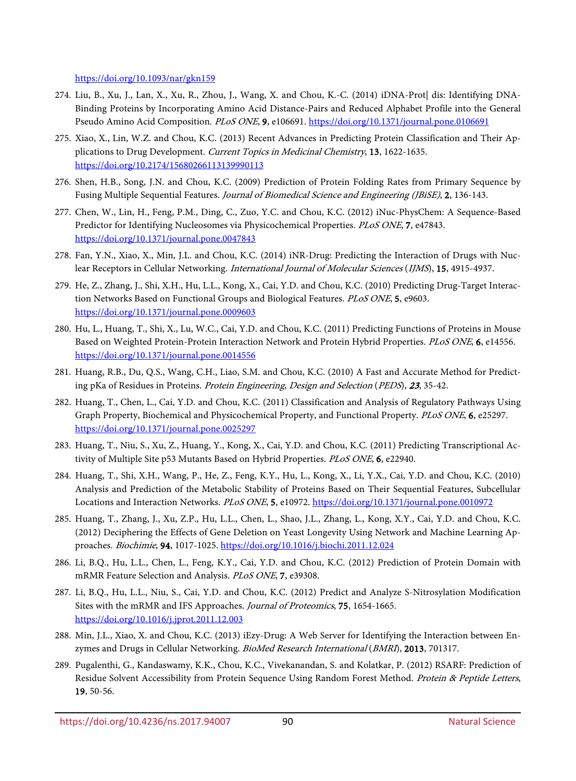<https://doi.org/10.1093/nar/gkn159>

- <span id="page-23-0"></span>274. Liu, B., Xu, J., Lan, X., Xu, R., Zhou, J., Wang, X. and Chou, K.-C. (2014) iDNA-Prot| dis: Identifying DNA-Binding Proteins by Incorporating Amino Acid Distance-Pairs and Reduced Alphabet Profile into the General Pseudo Amino Acid Composition. PLoS ONE, 9, e106691.<https://doi.org/10.1371/journal.pone.0106691>
- <span id="page-23-1"></span>275. Xiao, X., Lin, W.Z. and Chou, K.C. (2013) Recent Advances in Predicting Protein Classification and Their Applications to Drug Development. Current Topics in Medicinal Chemistry, 13, 1622-1635. <https://doi.org/10.2174/15680266113139990113>
- <span id="page-23-2"></span>276. Shen, H.B., Song, J.N. and Chou, K.C. (2009) Prediction of Protein Folding Rates from Primary Sequence by Fusing Multiple Sequential Features. *Journal of Biomedical Science and Engineering (JBiSE)*, 2, 136-143.
- <span id="page-23-4"></span>277. Chen, W., Lin, H., Feng, P.M., Ding, C., Zuo, Y.C. and Chou, K.C. (2012) iNuc-PhysChem: A Sequence-Based Predictor for Identifying Nucleosomes via Physicochemical Properties. PLoS ONE, 7, e47843. <https://doi.org/10.1371/journal.pone.0047843>
- 278. Fan, Y.N., Xiao, X., Min, J.L. and Chou, K.C. (2014) iNR-Drug: Predicting the Interaction of Drugs with Nuclear Receptors in Cellular Networking. International Journal of Molecular Sciences (IJMS), 15, 4915-4937.
- 279. He, Z., Zhang, J., Shi, X.H., Hu, L.L., Kong, X., Cai, Y.D. and Chou, K.C. (2010) Predicting Drug-Target Interaction Networks Based on Functional Groups and Biological Features. PLoS ONE, 5, e9603. <https://doi.org/10.1371/journal.pone.0009603>
- 280. Hu, L., Huang, T., Shi, X., Lu, W.C., Cai, Y.D. and Chou, K.C. (2011) Predicting Functions of Proteins in Mouse Based on Weighted Protein-Protein Interaction Network and Protein Hybrid Properties. PLoS ONE, 6, e14556. <https://doi.org/10.1371/journal.pone.0014556>
- 281. Huang, R.B., Du, Q.S., Wang, C.H., Liao, S.M. and Chou, K.C. (2010) A Fast and Accurate Method for Predicting pKa of Residues in Proteins. Protein Engineering, Design and Selection (PEDS), <sup>23</sup>, 35-42.
- 282. Huang, T., Chen, L., Cai, Y.D. and Chou, K.C. (2011) Classification and Analysis of Regulatory Pathways Using Graph Property, Biochemical and Physicochemical Property, and Functional Property. PLoS ONE, 6, e25297. <https://doi.org/10.1371/journal.pone.0025297>
- 283. Huang, T., Niu, S., Xu, Z., Huang, Y., Kong, X., Cai, Y.D. and Chou, K.C. (2011) Predicting Transcriptional Activity of Multiple Site p53 Mutants Based on Hybrid Properties. PLoS ONE, 6, e22940.
- 284. Huang, T., Shi, X.H., Wang, P., He, Z., Feng, K.Y., Hu, L., Kong, X., Li, Y.X., Cai, Y.D. and Chou, K.C. (2010) Analysis and Prediction of the Metabolic Stability of Proteins Based on Their Sequential Features, Subcellular Locations and Interaction Networks. PLoS ONE, 5, e10972.<https://doi.org/10.1371/journal.pone.0010972>
- 285. Huang, T., Zhang, J., Xu, Z.P., Hu, L.L., Chen, L., Shao, J.L., Zhang, L., Kong, X.Y., Cai, Y.D. and Chou, K.C. (2012) Deciphering the Effects of Gene Deletion on Yeast Longevity Using Network and Machine Learning Approaches. Biochimie, 94, 1017-1025.<https://doi.org/10.1016/j.biochi.2011.12.024>
- 286. Li, B.Q., Hu, L.L., Chen, L., Feng, K.Y., Cai, Y.D. and Chou, K.C. (2012) Prediction of Protein Domain with mRMR Feature Selection and Analysis. PLoS ONE, 7, e39308.
- 287. Li, B.Q., Hu, L.L., Niu, S., Cai, Y.D. and Chou, K.C. (2012) Predict and Analyze S-Nitrosylation Modification Sites with the mRMR and IFS Approaches. Journal of Proteomics, 75, 1654-1665. <https://doi.org/10.1016/j.jprot.2011.12.003>
- 288. Min, J.L., Xiao, X. and Chou, K.C. (2013) iEzy-Drug: A Web Server for Identifying the Interaction between Enzymes and Drugs in Cellular Networking. BioMed Research International (BMRI), 2013, 701317.
- <span id="page-23-3"></span>289. Pugalenthi, G., Kandaswamy, K.K., Chou, K.C., Vivekanandan, S. and Kolatkar, P. (2012) RSARF: Prediction of Residue Solvent Accessibility from Protein Sequence Using Random Forest Method. Protein & Peptide Letters, 19, 50-56.